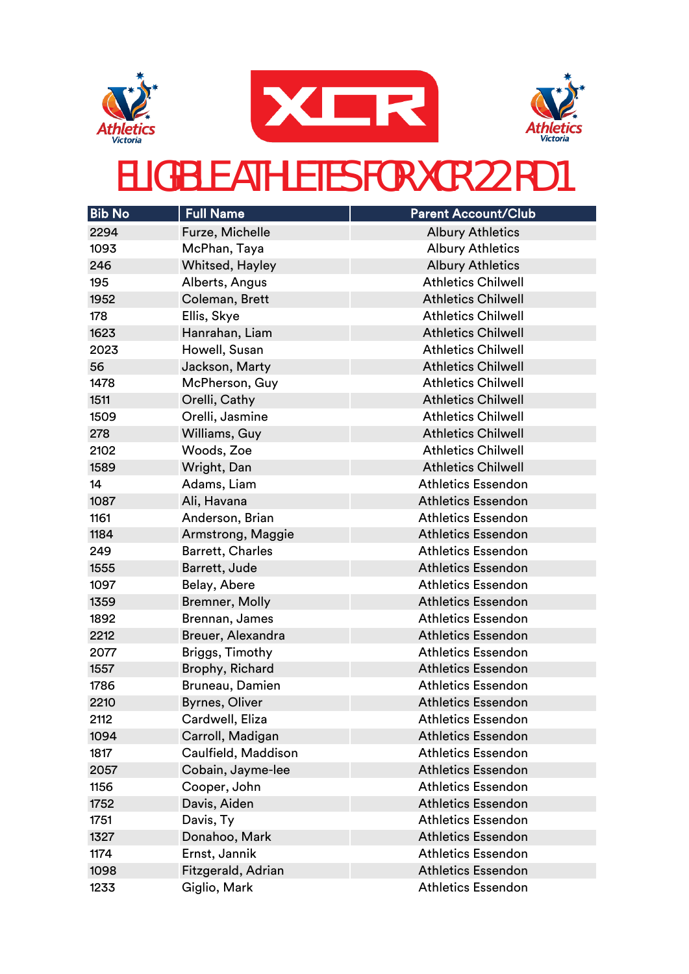





| <b>Bib No</b> | <b>Full Name</b>        | <b>Parent Account/Club</b> |
|---------------|-------------------------|----------------------------|
| 2294          | Furze, Michelle         | <b>Albury Athletics</b>    |
| 1093          | McPhan, Taya            | <b>Albury Athletics</b>    |
| 246           | Whitsed, Hayley         | <b>Albury Athletics</b>    |
| 195           | Alberts, Angus          | <b>Athletics Chilwell</b>  |
| 1952          | Coleman, Brett          | <b>Athletics Chilwell</b>  |
| 178           | Ellis, Skye             | <b>Athletics Chilwell</b>  |
| 1623          | Hanrahan, Liam          | <b>Athletics Chilwell</b>  |
| 2023          | Howell, Susan           | <b>Athletics Chilwell</b>  |
| 56            | Jackson, Marty          | <b>Athletics Chilwell</b>  |
| 1478          | McPherson, Guy          | <b>Athletics Chilwell</b>  |
| 1511          | Orelli, Cathy           | <b>Athletics Chilwell</b>  |
| 1509          | Orelli, Jasmine         | <b>Athletics Chilwell</b>  |
| 278           | Williams, Guy           | <b>Athletics Chilwell</b>  |
| 2102          | Woods, Zoe              | <b>Athletics Chilwell</b>  |
| 1589          | Wright, Dan             | <b>Athletics Chilwell</b>  |
| 14            | Adams, Liam             | <b>Athletics Essendon</b>  |
| 1087          | Ali, Havana             | <b>Athletics Essendon</b>  |
| 1161          | Anderson, Brian         | <b>Athletics Essendon</b>  |
| 1184          | Armstrong, Maggie       | <b>Athletics Essendon</b>  |
| 249           | <b>Barrett, Charles</b> | <b>Athletics Essendon</b>  |
| 1555          | Barrett, Jude           | <b>Athletics Essendon</b>  |
| 1097          | Belay, Abere            | <b>Athletics Essendon</b>  |
| 1359          | Bremner, Molly          | <b>Athletics Essendon</b>  |
| 1892          | Brennan, James          | <b>Athletics Essendon</b>  |
| 2212          | Breuer, Alexandra       | <b>Athletics Essendon</b>  |
| 2077          | Briggs, Timothy         | <b>Athletics Essendon</b>  |
| 1557          | Brophy, Richard         | <b>Athletics Essendon</b>  |
| 1786          | Bruneau, Damien         | <b>Athletics Essendon</b>  |
| 2210          | Byrnes, Oliver          | <b>Athletics Essendon</b>  |
| 2112          | Cardwell, Eliza         | <b>Athletics Essendon</b>  |
| 1094          | Carroll, Madigan        | <b>Athletics Essendon</b>  |
| 1817          | Caulfield, Maddison     | <b>Athletics Essendon</b>  |
| 2057          | Cobain, Jayme-lee       | <b>Athletics Essendon</b>  |
| 1156          | Cooper, John            | <b>Athletics Essendon</b>  |
| 1752          | Davis, Aiden            | <b>Athletics Essendon</b>  |
| 1751          | Davis, Ty               | <b>Athletics Essendon</b>  |
| 1327          | Donahoo, Mark           | <b>Athletics Essendon</b>  |
| 1174          | Ernst, Jannik           | <b>Athletics Essendon</b>  |
| 1098          | Fitzgerald, Adrian      | <b>Athletics Essendon</b>  |
| 1233          | Giglio, Mark            | <b>Athletics Essendon</b>  |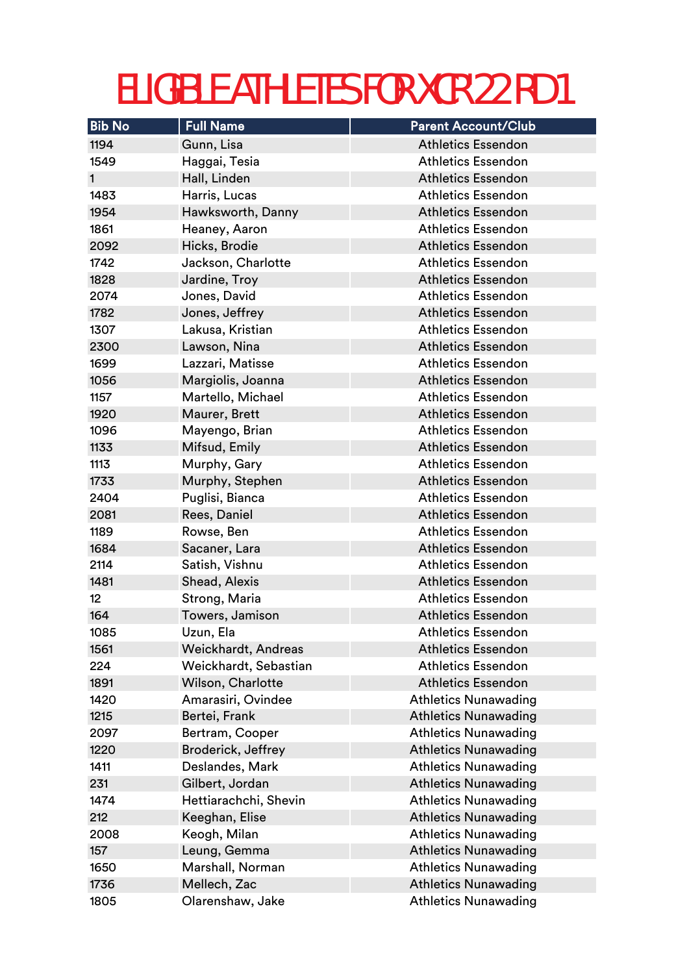| <b>Bib No</b>   | <b>Full Name</b>      | <b>Parent Account/Club</b>  |
|-----------------|-----------------------|-----------------------------|
| 1194            | Gunn, Lisa            | <b>Athletics Essendon</b>   |
| 1549            | Haggai, Tesia         | <b>Athletics Essendon</b>   |
| $\mathbf{1}$    | Hall, Linden          | <b>Athletics Essendon</b>   |
| 1483            | Harris, Lucas         | <b>Athletics Essendon</b>   |
| 1954            | Hawksworth, Danny     | <b>Athletics Essendon</b>   |
| 1861            | Heaney, Aaron         | <b>Athletics Essendon</b>   |
| 2092            | Hicks, Brodie         | <b>Athletics Essendon</b>   |
| 1742            | Jackson, Charlotte    | <b>Athletics Essendon</b>   |
| 1828            | Jardine, Troy         | <b>Athletics Essendon</b>   |
| 2074            | Jones, David          | <b>Athletics Essendon</b>   |
| 1782            | Jones, Jeffrey        | <b>Athletics Essendon</b>   |
| 1307            | Lakusa, Kristian      | <b>Athletics Essendon</b>   |
| 2300            | Lawson, Nina          | <b>Athletics Essendon</b>   |
| 1699            | Lazzari, Matisse      | <b>Athletics Essendon</b>   |
| 1056            | Margiolis, Joanna     | <b>Athletics Essendon</b>   |
| 1157            | Martello, Michael     | <b>Athletics Essendon</b>   |
| 1920            | Maurer, Brett         | <b>Athletics Essendon</b>   |
| 1096            | Mayengo, Brian        | <b>Athletics Essendon</b>   |
| 1133            | Mifsud, Emily         | <b>Athletics Essendon</b>   |
| 1113            | Murphy, Gary          | <b>Athletics Essendon</b>   |
| 1733            | Murphy, Stephen       | <b>Athletics Essendon</b>   |
| 2404            | Puglisi, Bianca       | <b>Athletics Essendon</b>   |
| 2081            | Rees, Daniel          | <b>Athletics Essendon</b>   |
| 1189            | Rowse, Ben            | <b>Athletics Essendon</b>   |
| 1684            | Sacaner, Lara         | <b>Athletics Essendon</b>   |
| 2114            | Satish, Vishnu        | <b>Athletics Essendon</b>   |
| 1481            | Shead, Alexis         | <b>Athletics Essendon</b>   |
| 12 <sup>°</sup> | Strong, Maria         | <b>Athletics Essendon</b>   |
| 164             | Towers, Jamison       | <b>Athletics Essendon</b>   |
| 1085            | Uzun, Ela             | Athletics Essendon          |
| 1561            | Weickhardt, Andreas   | <b>Athletics Essendon</b>   |
| 224             | Weickhardt, Sebastian | <b>Athletics Essendon</b>   |
| 1891            | Wilson, Charlotte     | <b>Athletics Essendon</b>   |
| 1420            | Amarasiri, Ovindee    | <b>Athletics Nunawading</b> |
| 1215            | Bertei, Frank         | <b>Athletics Nunawading</b> |
| 2097            | Bertram, Cooper       | <b>Athletics Nunawading</b> |
| 1220            | Broderick, Jeffrey    | <b>Athletics Nunawading</b> |
| 1411            | Deslandes, Mark       | <b>Athletics Nunawading</b> |
| 231             | Gilbert, Jordan       | <b>Athletics Nunawading</b> |
| 1474            | Hettiarachchi, Shevin | <b>Athletics Nunawading</b> |
| 212             | Keeghan, Elise        | <b>Athletics Nunawading</b> |
| 2008            | Keogh, Milan          | <b>Athletics Nunawading</b> |
| 157             | Leung, Gemma          | <b>Athletics Nunawading</b> |
| 1650            | Marshall, Norman      | <b>Athletics Nunawading</b> |
| 1736            | Mellech, Zac          | <b>Athletics Nunawading</b> |
| 1805            | Olarenshaw, Jake      | <b>Athletics Nunawading</b> |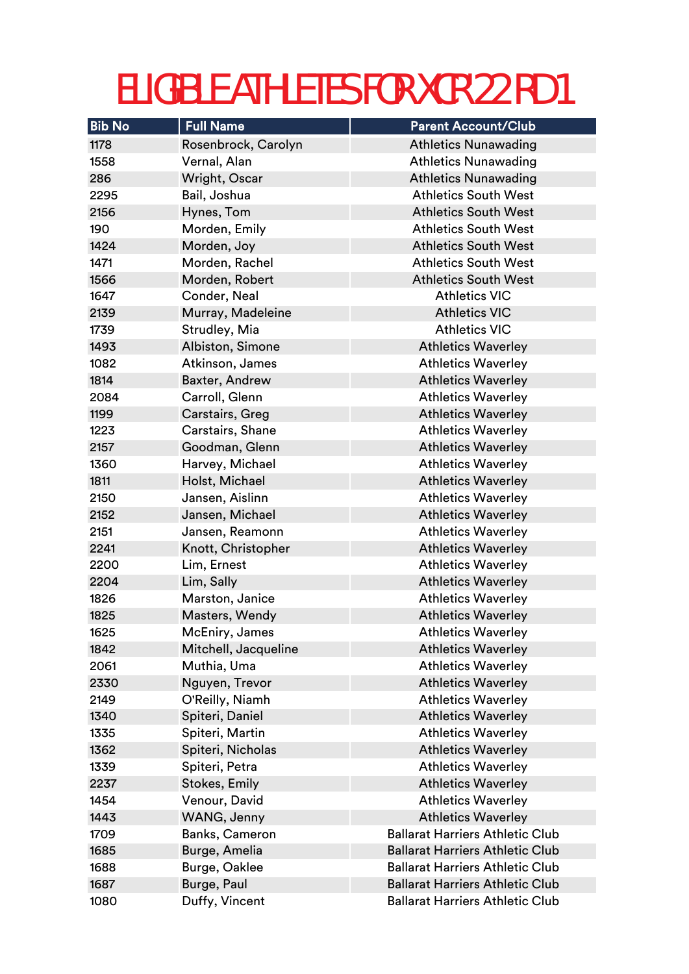| <b>Bib No</b> | <b>Full Name</b>     | <b>Parent Account/Club</b>             |
|---------------|----------------------|----------------------------------------|
| 1178          | Rosenbrock, Carolyn  | <b>Athletics Nunawading</b>            |
| 1558          | Vernal, Alan         | <b>Athletics Nunawading</b>            |
| 286           | Wright, Oscar        | <b>Athletics Nunawading</b>            |
| 2295          | Bail, Joshua         | <b>Athletics South West</b>            |
| 2156          | Hynes, Tom           | <b>Athletics South West</b>            |
| 190           | Morden, Emily        | <b>Athletics South West</b>            |
| 1424          | Morden, Joy          | <b>Athletics South West</b>            |
| 1471          | Morden, Rachel       | <b>Athletics South West</b>            |
| 1566          | Morden, Robert       | <b>Athletics South West</b>            |
| 1647          | Conder, Neal         | <b>Athletics VIC</b>                   |
| 2139          | Murray, Madeleine    | <b>Athletics VIC</b>                   |
| 1739          | Strudley, Mia        | <b>Athletics VIC</b>                   |
| 1493          | Albiston, Simone     | <b>Athletics Waverley</b>              |
| 1082          | Atkinson, James      | <b>Athletics Waverley</b>              |
| 1814          | Baxter, Andrew       | <b>Athletics Waverley</b>              |
| 2084          | Carroll, Glenn       | <b>Athletics Waverley</b>              |
| 1199          | Carstairs, Greg      | <b>Athletics Waverley</b>              |
| 1223          | Carstairs, Shane     | <b>Athletics Waverley</b>              |
| 2157          | Goodman, Glenn       | <b>Athletics Waverley</b>              |
| 1360          | Harvey, Michael      | <b>Athletics Waverley</b>              |
| 1811          | Holst, Michael       | <b>Athletics Waverley</b>              |
| 2150          | Jansen, Aislinn      | <b>Athletics Waverley</b>              |
| 2152          | Jansen, Michael      | <b>Athletics Waverley</b>              |
| 2151          | Jansen, Reamonn      | <b>Athletics Waverley</b>              |
| 2241          | Knott, Christopher   | <b>Athletics Waverley</b>              |
| 2200          | Lim, Ernest          | <b>Athletics Waverley</b>              |
| 2204          | Lim, Sally           | <b>Athletics Waverley</b>              |
| 1826          | Marston, Janice      | <b>Athletics Waverley</b>              |
| 1825          | Masters, Wendy       | <b>Athletics Waverley</b>              |
| 1625          | McEniry, James       | Athletics Waverley                     |
| 1842          | Mitchell, Jacqueline | <b>Athletics Waverley</b>              |
| 2061          | Muthia, Uma          | <b>Athletics Waverley</b>              |
| 2330          | Nguyen, Trevor       | <b>Athletics Waverley</b>              |
| 2149          | O'Reilly, Niamh      | <b>Athletics Waverley</b>              |
| 1340          | Spiteri, Daniel      | <b>Athletics Waverley</b>              |
| 1335          | Spiteri, Martin      | <b>Athletics Waverley</b>              |
| 1362          | Spiteri, Nicholas    | <b>Athletics Waverley</b>              |
| 1339          | Spiteri, Petra       | <b>Athletics Waverley</b>              |
| 2237          | <b>Stokes, Emily</b> | <b>Athletics Waverley</b>              |
| 1454          | Venour, David        | <b>Athletics Waverley</b>              |
| 1443          | WANG, Jenny          | <b>Athletics Waverley</b>              |
| 1709          | Banks, Cameron       | <b>Ballarat Harriers Athletic Club</b> |
| 1685          | Burge, Amelia        | <b>Ballarat Harriers Athletic Club</b> |
| 1688          | Burge, Oaklee        | <b>Ballarat Harriers Athletic Club</b> |
| 1687          | Burge, Paul          | <b>Ballarat Harriers Athletic Club</b> |
| 1080          | Duffy, Vincent       | <b>Ballarat Harriers Athletic Club</b> |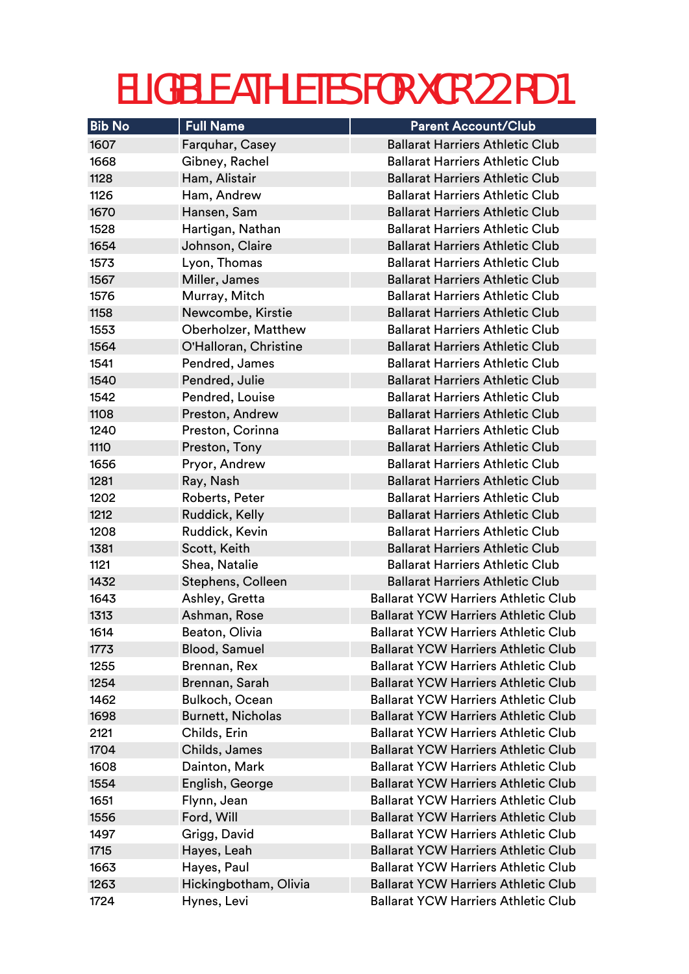| <b>Bib No</b> | <b>Full Name</b>          | <b>Parent Account/Club</b>                                                               |
|---------------|---------------------------|------------------------------------------------------------------------------------------|
| 1607          | Farquhar, Casey           | <b>Ballarat Harriers Athletic Club</b>                                                   |
| 1668          | Gibney, Rachel            | <b>Ballarat Harriers Athletic Club</b>                                                   |
| 1128          | Ham, Alistair             | <b>Ballarat Harriers Athletic Club</b>                                                   |
| 1126          | Ham, Andrew               | <b>Ballarat Harriers Athletic Club</b>                                                   |
| 1670          | Hansen, Sam               | <b>Ballarat Harriers Athletic Club</b>                                                   |
| 1528          | Hartigan, Nathan          | <b>Ballarat Harriers Athletic Club</b>                                                   |
| 1654          | Johnson, Claire           | <b>Ballarat Harriers Athletic Club</b>                                                   |
| 1573          | Lyon, Thomas              | <b>Ballarat Harriers Athletic Club</b>                                                   |
| 1567          | Miller, James             | <b>Ballarat Harriers Athletic Club</b>                                                   |
| 1576          | Murray, Mitch             | <b>Ballarat Harriers Athletic Club</b>                                                   |
| 1158          | Newcombe, Kirstie         | <b>Ballarat Harriers Athletic Club</b>                                                   |
| 1553          | Oberholzer, Matthew       | <b>Ballarat Harriers Athletic Club</b>                                                   |
| 1564          | O'Halloran, Christine     | <b>Ballarat Harriers Athletic Club</b>                                                   |
| 1541          | Pendred, James            | <b>Ballarat Harriers Athletic Club</b>                                                   |
| 1540          | Pendred, Julie            | <b>Ballarat Harriers Athletic Club</b>                                                   |
| 1542          | Pendred, Louise           | <b>Ballarat Harriers Athletic Club</b>                                                   |
| 1108          | Preston, Andrew           | <b>Ballarat Harriers Athletic Club</b>                                                   |
| 1240          | Preston, Corinna          | <b>Ballarat Harriers Athletic Club</b>                                                   |
| 1110          | Preston, Tony             | <b>Ballarat Harriers Athletic Club</b>                                                   |
| 1656          | Pryor, Andrew             | <b>Ballarat Harriers Athletic Club</b>                                                   |
| 1281          | Ray, Nash                 | <b>Ballarat Harriers Athletic Club</b>                                                   |
| 1202          | Roberts, Peter            | <b>Ballarat Harriers Athletic Club</b>                                                   |
| 1212          | Ruddick, Kelly            | <b>Ballarat Harriers Athletic Club</b>                                                   |
| 1208          | Ruddick, Kevin            | <b>Ballarat Harriers Athletic Club</b>                                                   |
| 1381          | Scott, Keith              | <b>Ballarat Harriers Athletic Club</b>                                                   |
| 1121          | Shea, Natalie             | <b>Ballarat Harriers Athletic Club</b>                                                   |
| 1432          | Stephens, Colleen         | <b>Ballarat Harriers Athletic Club</b>                                                   |
| 1643          | Ashley, Gretta            | <b>Ballarat YCW Harriers Athletic Club</b>                                               |
| 1313          | Ashman, Rose              | <b>Ballarat YCW Harriers Athletic Club</b>                                               |
| 1614          | Beaton, Olivia            | <b>Ballarat YCW Harriers Athletic Club</b>                                               |
| 1773          | <b>Blood, Samuel</b>      | <b>Ballarat YCW Harriers Athletic Club</b>                                               |
| 1255          | Brennan, Rex              | <b>Ballarat YCW Harriers Athletic Club</b>                                               |
| 1254          | Brennan, Sarah            | <b>Ballarat YCW Harriers Athletic Club</b>                                               |
| 1462          | Bulkoch, Ocean            | <b>Ballarat YCW Harriers Athletic Club</b>                                               |
| 1698          | <b>Burnett, Nicholas</b>  | <b>Ballarat YCW Harriers Athletic Club</b>                                               |
| 2121          | Childs, Erin              | <b>Ballarat YCW Harriers Athletic Club</b>                                               |
| 1704          | Childs, James             | <b>Ballarat YCW Harriers Athletic Club</b><br><b>Ballarat YCW Harriers Athletic Club</b> |
| 1608          | Dainton, Mark             | <b>Ballarat YCW Harriers Athletic Club</b>                                               |
| 1554<br>1651  | English, George           | <b>Ballarat YCW Harriers Athletic Club</b>                                               |
| 1556          | Flynn, Jean<br>Ford, Will | <b>Ballarat YCW Harriers Athletic Club</b>                                               |
| 1497          | Grigg, David              | <b>Ballarat YCW Harriers Athletic Club</b>                                               |
| 1715          | Hayes, Leah               | <b>Ballarat YCW Harriers Athletic Club</b>                                               |
| 1663          | Hayes, Paul               | <b>Ballarat YCW Harriers Athletic Club</b>                                               |
| 1263          | Hickingbotham, Olivia     | <b>Ballarat YCW Harriers Athletic Club</b>                                               |
| 1724          | Hynes, Levi               | <b>Ballarat YCW Harriers Athletic Club</b>                                               |
|               |                           |                                                                                          |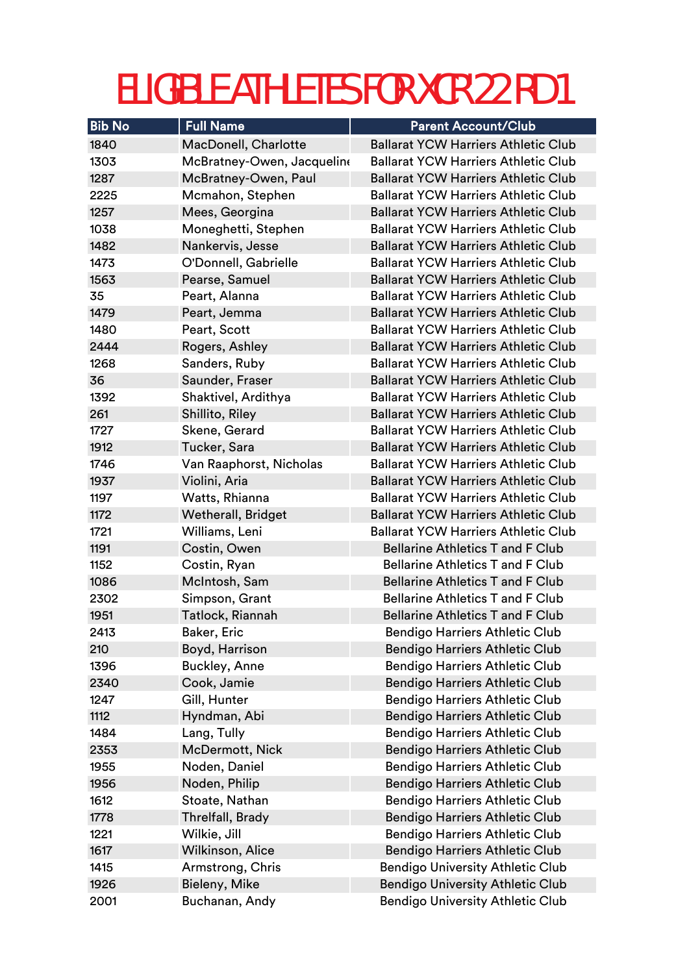| <b>Bib No</b> | <b>Full Name</b>           | <b>Parent Account/Club</b>                 |
|---------------|----------------------------|--------------------------------------------|
| 1840          | MacDonell, Charlotte       | <b>Ballarat YCW Harriers Athletic Club</b> |
| 1303          | McBratney-Owen, Jacqueline | <b>Ballarat YCW Harriers Athletic Club</b> |
| 1287          | McBratney-Owen, Paul       | <b>Ballarat YCW Harriers Athletic Club</b> |
| 2225          | Mcmahon, Stephen           | <b>Ballarat YCW Harriers Athletic Club</b> |
| 1257          | Mees, Georgina             | <b>Ballarat YCW Harriers Athletic Club</b> |
| 1038          | Moneghetti, Stephen        | <b>Ballarat YCW Harriers Athletic Club</b> |
| 1482          | Nankervis, Jesse           | <b>Ballarat YCW Harriers Athletic Club</b> |
| 1473          | O'Donnell, Gabrielle       | <b>Ballarat YCW Harriers Athletic Club</b> |
| 1563          | Pearse, Samuel             | <b>Ballarat YCW Harriers Athletic Club</b> |
| 35            | Peart, Alanna              | <b>Ballarat YCW Harriers Athletic Club</b> |
| 1479          | Peart, Jemma               | <b>Ballarat YCW Harriers Athletic Club</b> |
| 1480          | Peart, Scott               | <b>Ballarat YCW Harriers Athletic Club</b> |
| 2444          | Rogers, Ashley             | <b>Ballarat YCW Harriers Athletic Club</b> |
| 1268          | Sanders, Ruby              | <b>Ballarat YCW Harriers Athletic Club</b> |
| 36            | Saunder, Fraser            | <b>Ballarat YCW Harriers Athletic Club</b> |
| 1392          | Shaktivel, Ardithya        | <b>Ballarat YCW Harriers Athletic Club</b> |
| 261           | Shillito, Riley            | <b>Ballarat YCW Harriers Athletic Club</b> |
| 1727          | Skene, Gerard              | <b>Ballarat YCW Harriers Athletic Club</b> |
| 1912          | Tucker, Sara               | <b>Ballarat YCW Harriers Athletic Club</b> |
| 1746          | Van Raaphorst, Nicholas    | <b>Ballarat YCW Harriers Athletic Club</b> |
| 1937          | Violini, Aria              | <b>Ballarat YCW Harriers Athletic Club</b> |
| 1197          | Watts, Rhianna             | <b>Ballarat YCW Harriers Athletic Club</b> |
| 1172          | <b>Wetherall, Bridget</b>  | <b>Ballarat YCW Harriers Athletic Club</b> |
| 1721          | Williams, Leni             | <b>Ballarat YCW Harriers Athletic Club</b> |
| 1191          | Costin, Owen               | <b>Bellarine Athletics T and F Club</b>    |
| 1152          | Costin, Ryan               | <b>Bellarine Athletics T and F Club</b>    |
| 1086          | McIntosh, Sam              | <b>Bellarine Athletics T and F Club</b>    |
| 2302          | Simpson, Grant             | <b>Bellarine Athletics T and F Club</b>    |
| 1951          | Tatlock, Riannah           | <b>Bellarine Athletics T and F Club</b>    |
| 2413          | <b>Baker, Eric</b>         | <b>Bendigo Harriers Athletic Club</b>      |
| 210           | Boyd, Harrison             | <b>Bendigo Harriers Athletic Club</b>      |
| 1396          | <b>Buckley, Anne</b>       | <b>Bendigo Harriers Athletic Club</b>      |
| 2340          | Cook, Jamie                | <b>Bendigo Harriers Athletic Club</b>      |
| 1247          | Gill, Hunter               | <b>Bendigo Harriers Athletic Club</b>      |
| 1112          | Hyndman, Abi               | <b>Bendigo Harriers Athletic Club</b>      |
| 1484          | Lang, Tully                | <b>Bendigo Harriers Athletic Club</b>      |
| 2353          | <b>McDermott, Nick</b>     | <b>Bendigo Harriers Athletic Club</b>      |
| 1955          | Noden, Daniel              | <b>Bendigo Harriers Athletic Club</b>      |
| 1956          | Noden, Philip              | <b>Bendigo Harriers Athletic Club</b>      |
| 1612          | Stoate, Nathan             | <b>Bendigo Harriers Athletic Club</b>      |
| 1778          | Threlfall, Brady           | <b>Bendigo Harriers Athletic Club</b>      |
| 1221          | Wilkie, Jill               | <b>Bendigo Harriers Athletic Club</b>      |
| 1617          | Wilkinson, Alice           | <b>Bendigo Harriers Athletic Club</b>      |
| 1415          | Armstrong, Chris           | <b>Bendigo University Athletic Club</b>    |
| 1926          | Bieleny, Mike              | <b>Bendigo University Athletic Club</b>    |
| 2001          | Buchanan, Andy             | <b>Bendigo University Athletic Club</b>    |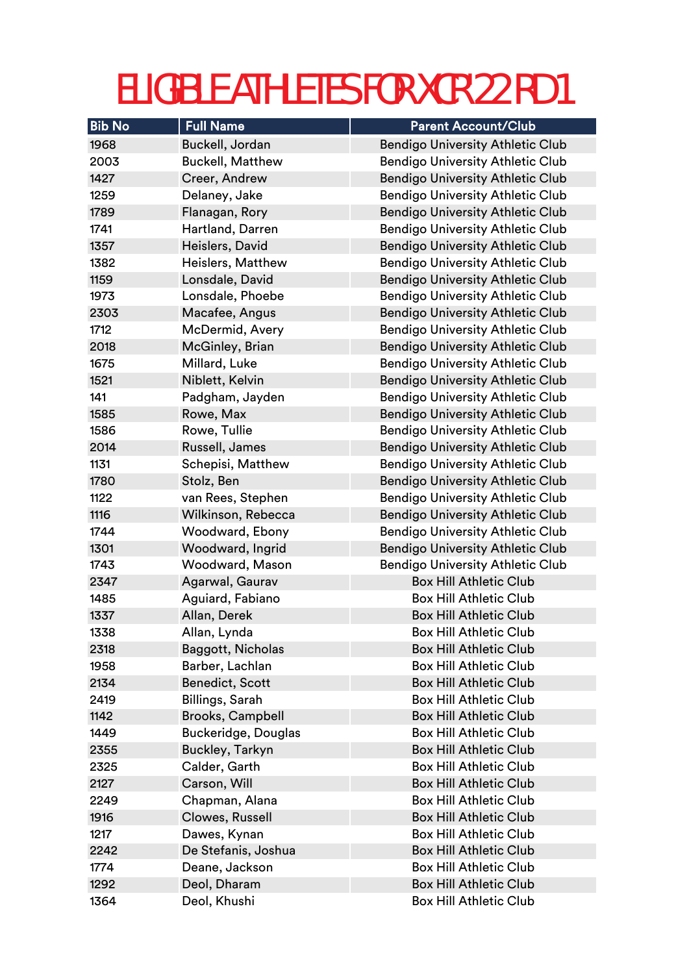| <b>Bib No</b> | <b>Full Name</b>           | <b>Parent Account/Club</b>              |
|---------------|----------------------------|-----------------------------------------|
| 1968          | Buckell, Jordan            | <b>Bendigo University Athletic Club</b> |
| 2003          | <b>Buckell, Matthew</b>    | <b>Bendigo University Athletic Club</b> |
| 1427          | Creer, Andrew              | <b>Bendigo University Athletic Club</b> |
| 1259          | Delaney, Jake              | <b>Bendigo University Athletic Club</b> |
| 1789          | Flanagan, Rory             | <b>Bendigo University Athletic Club</b> |
| 1741          | Hartland, Darren           | <b>Bendigo University Athletic Club</b> |
| 1357          | Heislers, David            | <b>Bendigo University Athletic Club</b> |
| 1382          | Heislers, Matthew          | <b>Bendigo University Athletic Club</b> |
| 1159          | Lonsdale, David            | <b>Bendigo University Athletic Club</b> |
| 1973          | Lonsdale, Phoebe           | <b>Bendigo University Athletic Club</b> |
| 2303          | Macafee, Angus             | <b>Bendigo University Athletic Club</b> |
| 1712          | McDermid, Avery            | <b>Bendigo University Athletic Club</b> |
| 2018          | McGinley, Brian            | <b>Bendigo University Athletic Club</b> |
| 1675          | Millard, Luke              | <b>Bendigo University Athletic Club</b> |
| 1521          | Niblett, Kelvin            | <b>Bendigo University Athletic Club</b> |
| 141           | Padgham, Jayden            | <b>Bendigo University Athletic Club</b> |
| 1585          | Rowe, Max                  | <b>Bendigo University Athletic Club</b> |
| 1586          | Rowe, Tullie               | <b>Bendigo University Athletic Club</b> |
| 2014          | Russell, James             | <b>Bendigo University Athletic Club</b> |
| 1131          | Schepisi, Matthew          | <b>Bendigo University Athletic Club</b> |
| 1780          | Stolz, Ben                 | <b>Bendigo University Athletic Club</b> |
| 1122          | van Rees, Stephen          | <b>Bendigo University Athletic Club</b> |
| 1116          | Wilkinson, Rebecca         | <b>Bendigo University Athletic Club</b> |
| 1744          | Woodward, Ebony            | <b>Bendigo University Athletic Club</b> |
| 1301          | Woodward, Ingrid           | <b>Bendigo University Athletic Club</b> |
| 1743          | Woodward, Mason            | <b>Bendigo University Athletic Club</b> |
| 2347          | Agarwal, Gaurav            | <b>Box Hill Athletic Club</b>           |
| 1485          | Aguiard, Fabiano           | <b>Box Hill Athletic Club</b>           |
| 1337          | Allan, Derek               | <b>Box Hill Athletic Club</b>           |
| 1338          | Allan, Lynda               | <b>Box Hill Athletic Club</b>           |
| 2318          | Baggott, Nicholas          | <b>Box Hill Athletic Club</b>           |
| 1958          | Barber, Lachlan            | <b>Box Hill Athletic Club</b>           |
| 2134          | <b>Benedict, Scott</b>     | <b>Box Hill Athletic Club</b>           |
| 2419          | Billings, Sarah            | <b>Box Hill Athletic Club</b>           |
| 1142          | <b>Brooks, Campbell</b>    | <b>Box Hill Athletic Club</b>           |
| 1449          | <b>Buckeridge, Douglas</b> | <b>Box Hill Athletic Club</b>           |
| 2355          | <b>Buckley, Tarkyn</b>     | <b>Box Hill Athletic Club</b>           |
| 2325          | Calder, Garth              | <b>Box Hill Athletic Club</b>           |
| 2127          | Carson, Will               | <b>Box Hill Athletic Club</b>           |
| 2249          | Chapman, Alana             | <b>Box Hill Athletic Club</b>           |
| 1916          | Clowes, Russell            | <b>Box Hill Athletic Club</b>           |
| 1217          | Dawes, Kynan               | <b>Box Hill Athletic Club</b>           |
| 2242          | De Stefanis, Joshua        | <b>Box Hill Athletic Club</b>           |
| 1774          | Deane, Jackson             | <b>Box Hill Athletic Club</b>           |
| 1292          | Deol, Dharam               | <b>Box Hill Athletic Club</b>           |
| 1364          | Deol, Khushi               | <b>Box Hill Athletic Club</b>           |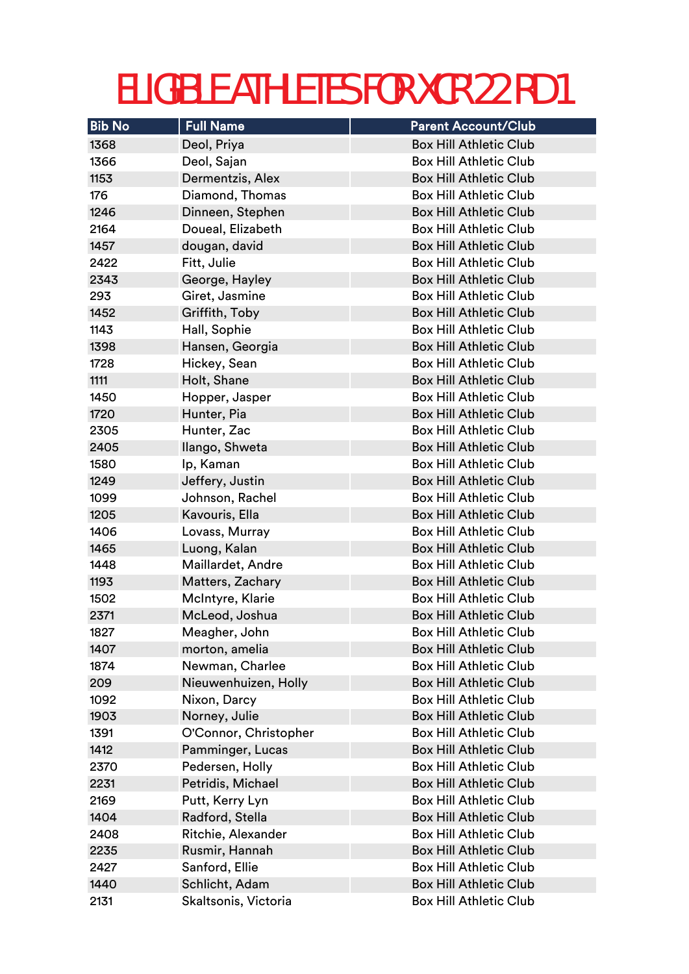| <b>Bib No</b> | <b>Full Name</b>      | <b>Parent Account/Club</b>    |
|---------------|-----------------------|-------------------------------|
| 1368          | Deol, Priya           | <b>Box Hill Athletic Club</b> |
| 1366          | Deol, Sajan           | <b>Box Hill Athletic Club</b> |
| 1153          | Dermentzis, Alex      | <b>Box Hill Athletic Club</b> |
| 176           | Diamond, Thomas       | <b>Box Hill Athletic Club</b> |
| 1246          | Dinneen, Stephen      | <b>Box Hill Athletic Club</b> |
| 2164          | Doueal, Elizabeth     | <b>Box Hill Athletic Club</b> |
| 1457          | dougan, david         | <b>Box Hill Athletic Club</b> |
| 2422          | Fitt, Julie           | <b>Box Hill Athletic Club</b> |
| 2343          | George, Hayley        | <b>Box Hill Athletic Club</b> |
| 293           | Giret, Jasmine        | <b>Box Hill Athletic Club</b> |
| 1452          | Griffith, Toby        | <b>Box Hill Athletic Club</b> |
| 1143          | Hall, Sophie          | <b>Box Hill Athletic Club</b> |
| 1398          | Hansen, Georgia       | <b>Box Hill Athletic Club</b> |
| 1728          | Hickey, Sean          | <b>Box Hill Athletic Club</b> |
| 1111          | Holt, Shane           | <b>Box Hill Athletic Club</b> |
| 1450          | Hopper, Jasper        | <b>Box Hill Athletic Club</b> |
| 1720          | Hunter, Pia           | <b>Box Hill Athletic Club</b> |
| 2305          | Hunter, Zac           | <b>Box Hill Athletic Club</b> |
| 2405          | Ilango, Shweta        | <b>Box Hill Athletic Club</b> |
| 1580          | Ip, Kaman             | <b>Box Hill Athletic Club</b> |
| 1249          | Jeffery, Justin       | <b>Box Hill Athletic Club</b> |
| 1099          | Johnson, Rachel       | <b>Box Hill Athletic Club</b> |
| 1205          | Kavouris, Ella        | <b>Box Hill Athletic Club</b> |
| 1406          | Lovass, Murray        | <b>Box Hill Athletic Club</b> |
| 1465          | Luong, Kalan          | <b>Box Hill Athletic Club</b> |
| 1448          | Maillardet, Andre     | <b>Box Hill Athletic Club</b> |
| 1193          | Matters, Zachary      | <b>Box Hill Athletic Club</b> |
| 1502          | McIntyre, Klarie      | <b>Box Hill Athletic Club</b> |
| 2371          | McLeod, Joshua        | <b>Box Hill Athletic Club</b> |
| 1827          | Meagher, John         | Box Hill Athletic Club        |
| 1407          | morton, amelia        | <b>Box Hill Athletic Club</b> |
| 1874          | Newman, Charlee       | <b>Box Hill Athletic Club</b> |
| 209           | Nieuwenhuizen, Holly  | <b>Box Hill Athletic Club</b> |
| 1092          | Nixon, Darcy          | <b>Box Hill Athletic Club</b> |
| 1903          | Norney, Julie         | <b>Box Hill Athletic Club</b> |
| 1391          | O'Connor, Christopher | <b>Box Hill Athletic Club</b> |
| 1412          | Pamminger, Lucas      | <b>Box Hill Athletic Club</b> |
| 2370          | Pedersen, Holly       | <b>Box Hill Athletic Club</b> |
| 2231          | Petridis, Michael     | <b>Box Hill Athletic Club</b> |
| 2169          | Putt, Kerry Lyn       | <b>Box Hill Athletic Club</b> |
| 1404          | Radford, Stella       | <b>Box Hill Athletic Club</b> |
| 2408          | Ritchie, Alexander    | <b>Box Hill Athletic Club</b> |
| 2235          | Rusmir, Hannah        | <b>Box Hill Athletic Club</b> |
| 2427          | Sanford, Ellie        | <b>Box Hill Athletic Club</b> |
| 1440          | Schlicht, Adam        | <b>Box Hill Athletic Club</b> |
| 2131          | Skaltsonis, Victoria  | <b>Box Hill Athletic Club</b> |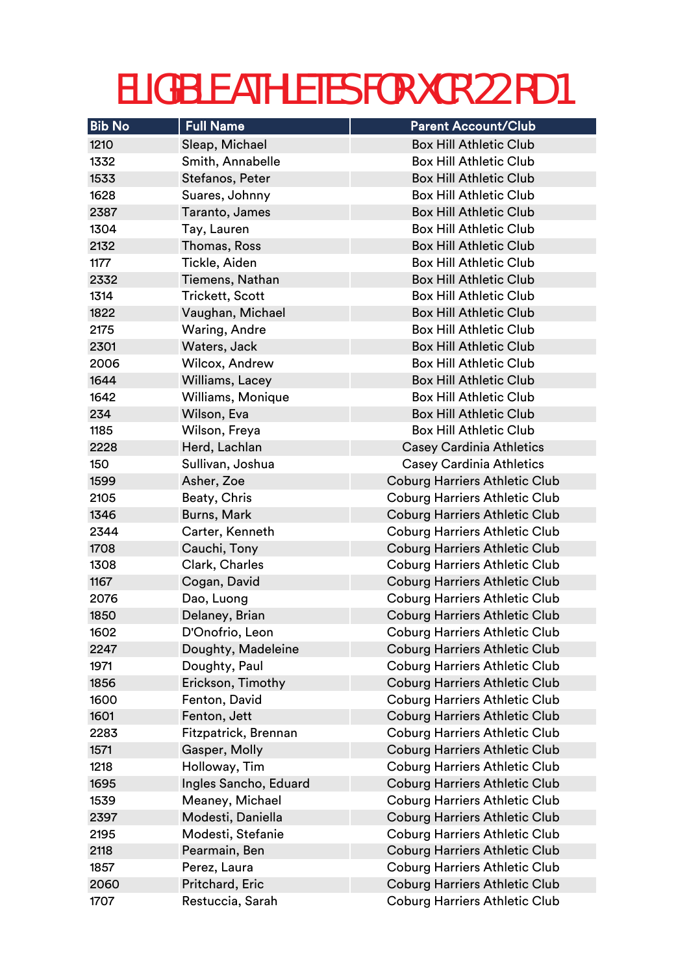| <b>Bib No</b> | <b>Full Name</b>       | <b>Parent Account/Club</b>           |
|---------------|------------------------|--------------------------------------|
| 1210          | Sleap, Michael         | <b>Box Hill Athletic Club</b>        |
| 1332          | Smith, Annabelle       | <b>Box Hill Athletic Club</b>        |
| 1533          | Stefanos, Peter        | <b>Box Hill Athletic Club</b>        |
| 1628          | Suares, Johnny         | <b>Box Hill Athletic Club</b>        |
| 2387          | Taranto, James         | <b>Box Hill Athletic Club</b>        |
| 1304          | Tay, Lauren            | <b>Box Hill Athletic Club</b>        |
| 2132          | Thomas, Ross           | <b>Box Hill Athletic Club</b>        |
| 1177          | Tickle, Aiden          | <b>Box Hill Athletic Club</b>        |
| 2332          | Tiemens, Nathan        | <b>Box Hill Athletic Club</b>        |
| 1314          | <b>Trickett, Scott</b> | <b>Box Hill Athletic Club</b>        |
| 1822          | Vaughan, Michael       | <b>Box Hill Athletic Club</b>        |
| 2175          | Waring, Andre          | <b>Box Hill Athletic Club</b>        |
| 2301          | Waters, Jack           | <b>Box Hill Athletic Club</b>        |
| 2006          | Wilcox, Andrew         | <b>Box Hill Athletic Club</b>        |
| 1644          | Williams, Lacey        | <b>Box Hill Athletic Club</b>        |
| 1642          | Williams, Monique      | <b>Box Hill Athletic Club</b>        |
| 234           | Wilson, Eva            | <b>Box Hill Athletic Club</b>        |
| 1185          | Wilson, Freya          | <b>Box Hill Athletic Club</b>        |
| 2228          | Herd, Lachlan          | <b>Casey Cardinia Athletics</b>      |
| 150           | Sullivan, Joshua       | <b>Casey Cardinia Athletics</b>      |
| 1599          | Asher, Zoe             | <b>Coburg Harriers Athletic Club</b> |
| 2105          | Beaty, Chris           | <b>Coburg Harriers Athletic Club</b> |
| 1346          | Burns, Mark            | <b>Coburg Harriers Athletic Club</b> |
| 2344          | Carter, Kenneth        | <b>Coburg Harriers Athletic Club</b> |
| 1708          | Cauchi, Tony           | <b>Coburg Harriers Athletic Club</b> |
| 1308          | Clark, Charles         | <b>Coburg Harriers Athletic Club</b> |
| 1167          | Cogan, David           | <b>Coburg Harriers Athletic Club</b> |
| 2076          | Dao, Luong             | <b>Coburg Harriers Athletic Club</b> |
| 1850          | Delaney, Brian         | <b>Coburg Harriers Athletic Club</b> |
| 1602          | D'Onofrio, Leon        | <b>Coburg Harriers Athletic Club</b> |
| 2247          | Doughty, Madeleine     | <b>Coburg Harriers Athletic Club</b> |
| 1971          | Doughty, Paul          | <b>Coburg Harriers Athletic Club</b> |
| 1856          | Erickson, Timothy      | <b>Coburg Harriers Athletic Club</b> |
| 1600          | Fenton, David          | <b>Coburg Harriers Athletic Club</b> |
| 1601          | Fenton, Jett           | <b>Coburg Harriers Athletic Club</b> |
| 2283          | Fitzpatrick, Brennan   | <b>Coburg Harriers Athletic Club</b> |
| 1571          | Gasper, Molly          | <b>Coburg Harriers Athletic Club</b> |
| 1218          | Holloway, Tim          | <b>Coburg Harriers Athletic Club</b> |
| 1695          | Ingles Sancho, Eduard  | <b>Coburg Harriers Athletic Club</b> |
| 1539          | Meaney, Michael        | <b>Coburg Harriers Athletic Club</b> |
| 2397          | Modesti, Daniella      | <b>Coburg Harriers Athletic Club</b> |
| 2195          | Modesti, Stefanie      | Coburg Harriers Athletic Club        |
| 2118          | Pearmain, Ben          | <b>Coburg Harriers Athletic Club</b> |
| 1857          | Perez, Laura           | <b>Coburg Harriers Athletic Club</b> |
| 2060          | Pritchard, Eric        | <b>Coburg Harriers Athletic Club</b> |
| 1707          | Restuccia, Sarah       | <b>Coburg Harriers Athletic Club</b> |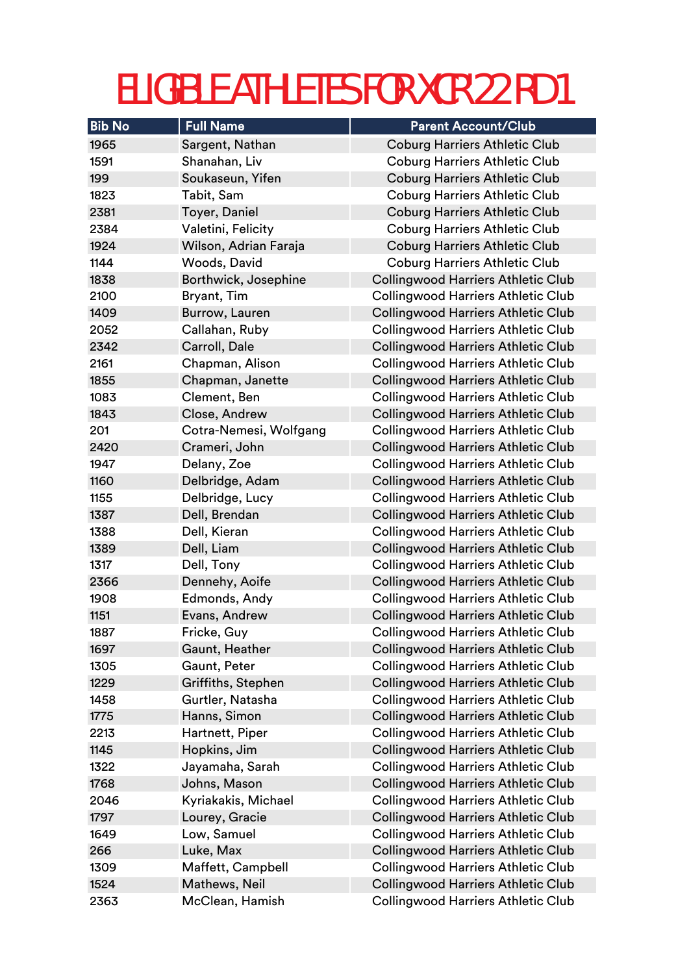| <b>Bib No</b> | <b>Full Name</b>       | <b>Parent Account/Club</b>                |
|---------------|------------------------|-------------------------------------------|
| 1965          | Sargent, Nathan        | <b>Coburg Harriers Athletic Club</b>      |
| 1591          | Shanahan, Liv          | <b>Coburg Harriers Athletic Club</b>      |
| 199           | Soukaseun, Yifen       | <b>Coburg Harriers Athletic Club</b>      |
| 1823          | Tabit, Sam             | <b>Coburg Harriers Athletic Club</b>      |
| 2381          | Toyer, Daniel          | <b>Coburg Harriers Athletic Club</b>      |
| 2384          | Valetini, Felicity     | <b>Coburg Harriers Athletic Club</b>      |
| 1924          | Wilson, Adrian Faraja  | <b>Coburg Harriers Athletic Club</b>      |
| 1144          | Woods, David           | <b>Coburg Harriers Athletic Club</b>      |
| 1838          | Borthwick, Josephine   | <b>Collingwood Harriers Athletic Club</b> |
| 2100          | Bryant, Tim            | <b>Collingwood Harriers Athletic Club</b> |
| 1409          | Burrow, Lauren         | <b>Collingwood Harriers Athletic Club</b> |
| 2052          | Callahan, Ruby         | <b>Collingwood Harriers Athletic Club</b> |
| 2342          | Carroll, Dale          | <b>Collingwood Harriers Athletic Club</b> |
| 2161          | Chapman, Alison        | <b>Collingwood Harriers Athletic Club</b> |
| 1855          | Chapman, Janette       | <b>Collingwood Harriers Athletic Club</b> |
| 1083          | Clement, Ben           | <b>Collingwood Harriers Athletic Club</b> |
| 1843          | Close, Andrew          | <b>Collingwood Harriers Athletic Club</b> |
| 201           | Cotra-Nemesi, Wolfgang | <b>Collingwood Harriers Athletic Club</b> |
| 2420          | Crameri, John          | <b>Collingwood Harriers Athletic Club</b> |
| 1947          | Delany, Zoe            | <b>Collingwood Harriers Athletic Club</b> |
| 1160          | Delbridge, Adam        | <b>Collingwood Harriers Athletic Club</b> |
| 1155          | Delbridge, Lucy        | <b>Collingwood Harriers Athletic Club</b> |
| 1387          | Dell, Brendan          | <b>Collingwood Harriers Athletic Club</b> |
| 1388          | Dell, Kieran           | <b>Collingwood Harriers Athletic Club</b> |
| 1389          | Dell, Liam             | <b>Collingwood Harriers Athletic Club</b> |
| 1317          | Dell, Tony             | <b>Collingwood Harriers Athletic Club</b> |
| 2366          | Dennehy, Aoife         | <b>Collingwood Harriers Athletic Club</b> |
| 1908          | Edmonds, Andy          | <b>Collingwood Harriers Athletic Club</b> |
| 1151          | Evans, Andrew          | <b>Collingwood Harriers Athletic Club</b> |
| 1887          | Fricke, Guy            | <b>Collingwood Harriers Athletic Club</b> |
| 1697          | Gaunt, Heather         | <b>Collingwood Harriers Athletic Club</b> |
| 1305          | Gaunt, Peter           | <b>Collingwood Harriers Athletic Club</b> |
| 1229          | Griffiths, Stephen     | <b>Collingwood Harriers Athletic Club</b> |
| 1458          | Gurtler, Natasha       | <b>Collingwood Harriers Athletic Club</b> |
| 1775          | Hanns, Simon           | <b>Collingwood Harriers Athletic Club</b> |
| 2213          | Hartnett, Piper        | <b>Collingwood Harriers Athletic Club</b> |
| 1145          | Hopkins, Jim           | <b>Collingwood Harriers Athletic Club</b> |
| 1322          | Jayamaha, Sarah        | <b>Collingwood Harriers Athletic Club</b> |
| 1768          | Johns, Mason           | <b>Collingwood Harriers Athletic Club</b> |
| 2046          | Kyriakakis, Michael    | <b>Collingwood Harriers Athletic Club</b> |
| 1797          | Lourey, Gracie         | <b>Collingwood Harriers Athletic Club</b> |
| 1649          | Low, Samuel            | <b>Collingwood Harriers Athletic Club</b> |
| 266           | Luke, Max              | <b>Collingwood Harriers Athletic Club</b> |
| 1309          | Maffett, Campbell      | <b>Collingwood Harriers Athletic Club</b> |
| 1524          | Mathews, Neil          | <b>Collingwood Harriers Athletic Club</b> |
| 2363          | McClean, Hamish        | <b>Collingwood Harriers Athletic Club</b> |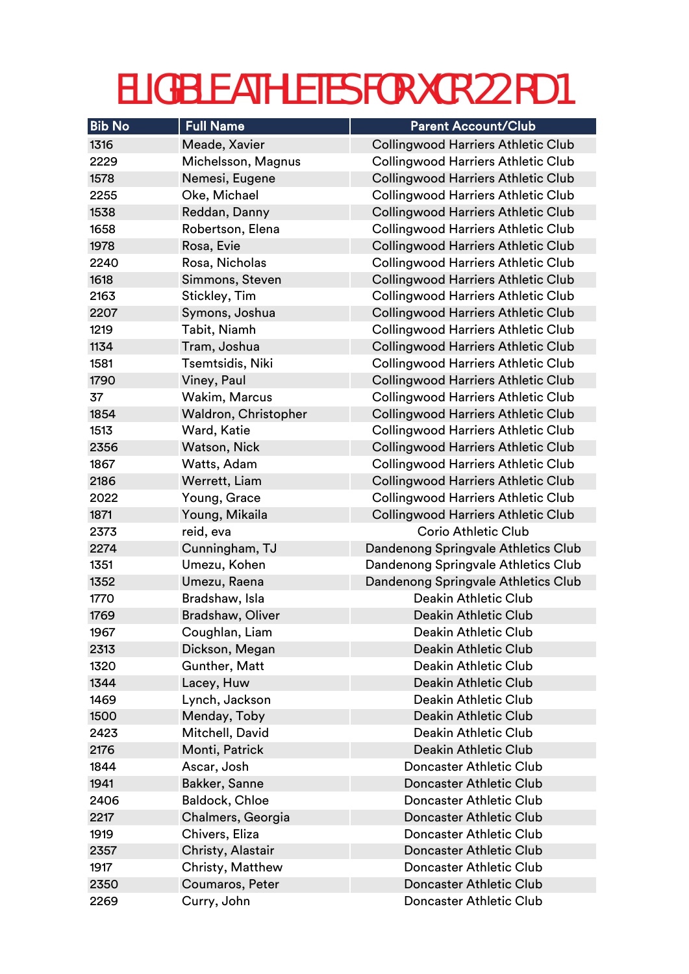| <b>Bib No</b> | <b>Full Name</b>        | <b>Parent Account/Club</b>                |
|---------------|-------------------------|-------------------------------------------|
| 1316          | Meade, Xavier           | <b>Collingwood Harriers Athletic Club</b> |
| 2229          | Michelsson, Magnus      | <b>Collingwood Harriers Athletic Club</b> |
| 1578          | Nemesi, Eugene          | <b>Collingwood Harriers Athletic Club</b> |
| 2255          | Oke, Michael            | <b>Collingwood Harriers Athletic Club</b> |
| 1538          | Reddan, Danny           | <b>Collingwood Harriers Athletic Club</b> |
| 1658          | Robertson, Elena        | <b>Collingwood Harriers Athletic Club</b> |
| 1978          | Rosa, Evie              | <b>Collingwood Harriers Athletic Club</b> |
| 2240          | Rosa, Nicholas          | <b>Collingwood Harriers Athletic Club</b> |
| 1618          | Simmons, Steven         | <b>Collingwood Harriers Athletic Club</b> |
| 2163          | Stickley, Tim           | <b>Collingwood Harriers Athletic Club</b> |
| 2207          | Symons, Joshua          | <b>Collingwood Harriers Athletic Club</b> |
| 1219          | Tabit, Niamh            | <b>Collingwood Harriers Athletic Club</b> |
| 1134          | Tram, Joshua            | <b>Collingwood Harriers Athletic Club</b> |
| 1581          | Tsemtsidis, Niki        | <b>Collingwood Harriers Athletic Club</b> |
| 1790          | Viney, Paul             | <b>Collingwood Harriers Athletic Club</b> |
| 37            | Wakim, Marcus           | <b>Collingwood Harriers Athletic Club</b> |
| 1854          | Waldron, Christopher    | <b>Collingwood Harriers Athletic Club</b> |
| 1513          | Ward, Katie             | <b>Collingwood Harriers Athletic Club</b> |
| 2356          | Watson, Nick            | <b>Collingwood Harriers Athletic Club</b> |
| 1867          | Watts, Adam             | <b>Collingwood Harriers Athletic Club</b> |
| 2186          | Werrett, Liam           | <b>Collingwood Harriers Athletic Club</b> |
| 2022          | Young, Grace            | <b>Collingwood Harriers Athletic Club</b> |
| 1871          | Young, Mikaila          | <b>Collingwood Harriers Athletic Club</b> |
| 2373          | reid, eva               | <b>Corio Athletic Club</b>                |
| 2274          | Cunningham, TJ          | Dandenong Springvale Athletics Club       |
| 1351          | Umezu, Kohen            | Dandenong Springvale Athletics Club       |
| 1352          | Umezu, Raena            | Dandenong Springvale Athletics Club       |
| 1770          | Bradshaw, Isla          | <b>Deakin Athletic Club</b>               |
| 1769          | <b>Bradshaw, Oliver</b> | <b>Deakin Athletic Club</b>               |
| 1967          | Coughlan, Liam          | Deakin Athletic Club                      |
| 2313          | Dickson, Megan          | <b>Deakin Athletic Club</b>               |
| 1320          | Gunther, Matt           | <b>Deakin Athletic Club</b>               |
| 1344          | Lacey, Huw              | <b>Deakin Athletic Club</b>               |
| 1469          | Lynch, Jackson          | <b>Deakin Athletic Club</b>               |
| 1500          | Menday, Toby            | <b>Deakin Athletic Club</b>               |
| 2423          | Mitchell, David         | <b>Deakin Athletic Club</b>               |
| 2176          | Monti, Patrick          | <b>Deakin Athletic Club</b>               |
| 1844          | Ascar, Josh             | <b>Doncaster Athletic Club</b>            |
| 1941          | Bakker, Sanne           | <b>Doncaster Athletic Club</b>            |
| 2406          | Baldock, Chloe          | <b>Doncaster Athletic Club</b>            |
| 2217          | Chalmers, Georgia       | <b>Doncaster Athletic Club</b>            |
| 1919          | Chivers, Eliza          | Doncaster Athletic Club                   |
| 2357          | Christy, Alastair       | <b>Doncaster Athletic Club</b>            |
| 1917          | Christy, Matthew        | Doncaster Athletic Club                   |
| 2350          | Coumaros, Peter         | <b>Doncaster Athletic Club</b>            |
| 2269          | Curry, John             | Doncaster Athletic Club                   |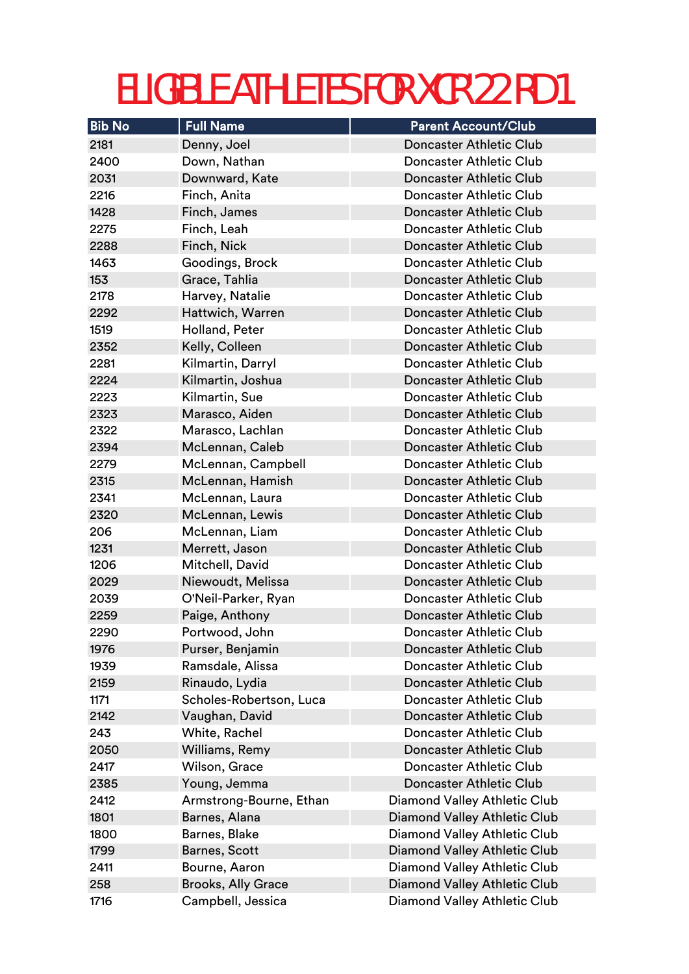| <b>Bib No</b> | <b>Full Name</b>          | <b>Parent Account/Club</b>          |
|---------------|---------------------------|-------------------------------------|
| 2181          | Denny, Joel               | <b>Doncaster Athletic Club</b>      |
| 2400          | Down, Nathan              | <b>Doncaster Athletic Club</b>      |
| 2031          | Downward, Kate            | <b>Doncaster Athletic Club</b>      |
| 2216          | Finch, Anita              | <b>Doncaster Athletic Club</b>      |
| 1428          | Finch, James              | <b>Doncaster Athletic Club</b>      |
| 2275          | Finch, Leah               | <b>Doncaster Athletic Club</b>      |
| 2288          | Finch, Nick               | <b>Doncaster Athletic Club</b>      |
| 1463          | Goodings, Brock           | <b>Doncaster Athletic Club</b>      |
| 153           | Grace, Tahlia             | <b>Doncaster Athletic Club</b>      |
| 2178          | Harvey, Natalie           | <b>Doncaster Athletic Club</b>      |
| 2292          | Hattwich, Warren          | <b>Doncaster Athletic Club</b>      |
| 1519          | Holland, Peter            | <b>Doncaster Athletic Club</b>      |
| 2352          | Kelly, Colleen            | Doncaster Athletic Club             |
| 2281          | Kilmartin, Darryl         | <b>Doncaster Athletic Club</b>      |
| 2224          | Kilmartin, Joshua         | <b>Doncaster Athletic Club</b>      |
| 2223          | Kilmartin, Sue            | Doncaster Athletic Club             |
| 2323          | Marasco, Aiden            | <b>Doncaster Athletic Club</b>      |
| 2322          | Marasco, Lachlan          | Doncaster Athletic Club             |
| 2394          | McLennan, Caleb           | <b>Doncaster Athletic Club</b>      |
| 2279          | McLennan, Campbell        | <b>Doncaster Athletic Club</b>      |
| 2315          | McLennan, Hamish          | <b>Doncaster Athletic Club</b>      |
| 2341          | McLennan, Laura           | <b>Doncaster Athletic Club</b>      |
| 2320          | McLennan, Lewis           | <b>Doncaster Athletic Club</b>      |
| 206           | McLennan, Liam            | <b>Doncaster Athletic Club</b>      |
| 1231          | Merrett, Jason            | <b>Doncaster Athletic Club</b>      |
| 1206          | Mitchell, David           | Doncaster Athletic Club             |
| 2029          | Niewoudt, Melissa         | <b>Doncaster Athletic Club</b>      |
| 2039          | O'Neil-Parker, Ryan       | <b>Doncaster Athletic Club</b>      |
| 2259          | Paige, Anthony            | <b>Doncaster Athletic Club</b>      |
| 2290          | Portwood, John            | Doncaster Athletic Club             |
| 1976          | Purser, Benjamin          | <b>Doncaster Athletic Club</b>      |
| 1939          | Ramsdale, Alissa          | <b>Doncaster Athletic Club</b>      |
| 2159          | Rinaudo, Lydia            | <b>Doncaster Athletic Club</b>      |
| 1171          | Scholes-Robertson, Luca   | Doncaster Athletic Club             |
| 2142          | Vaughan, David            | <b>Doncaster Athletic Club</b>      |
| 243           | White, Rachel             | <b>Doncaster Athletic Club</b>      |
| 2050          | Williams, Remy            | <b>Doncaster Athletic Club</b>      |
| 2417          | Wilson, Grace             | <b>Doncaster Athletic Club</b>      |
| 2385          | Young, Jemma              | <b>Doncaster Athletic Club</b>      |
| 2412          | Armstrong-Bourne, Ethan   | Diamond Valley Athletic Club        |
| 1801          | Barnes, Alana             | Diamond Valley Athletic Club        |
| 1800          | Barnes, Blake             | <b>Diamond Valley Athletic Club</b> |
| 1799          | Barnes, Scott             | Diamond Valley Athletic Club        |
| 2411          | Bourne, Aaron             | Diamond Valley Athletic Club        |
| 258           | <b>Brooks, Ally Grace</b> | Diamond Valley Athletic Club        |
| 1716          | Campbell, Jessica         | Diamond Valley Athletic Club        |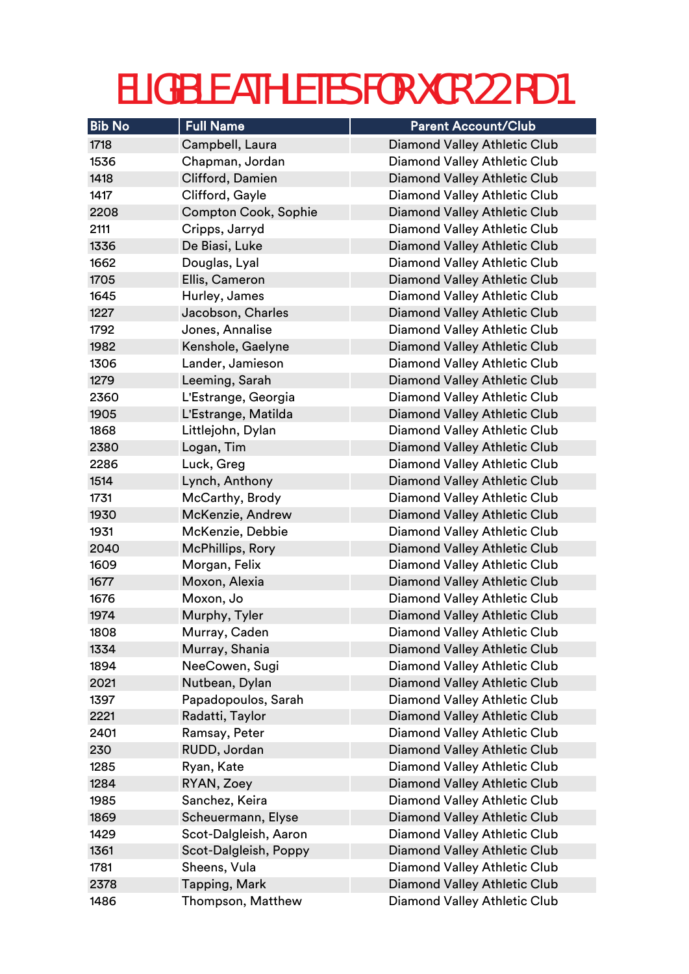| <b>Bib No</b> | <b>Full Name</b>            | <b>Parent Account/Club</b>          |
|---------------|-----------------------------|-------------------------------------|
| 1718          | Campbell, Laura             | <b>Diamond Valley Athletic Club</b> |
| 1536          | Chapman, Jordan             | Diamond Valley Athletic Club        |
| 1418          | Clifford, Damien            | <b>Diamond Valley Athletic Club</b> |
| 1417          | Clifford, Gayle             | Diamond Valley Athletic Club        |
| 2208          | <b>Compton Cook, Sophie</b> | Diamond Valley Athletic Club        |
| 2111          | Cripps, Jarryd              | <b>Diamond Valley Athletic Club</b> |
| 1336          | De Biasi, Luke              | <b>Diamond Valley Athletic Club</b> |
| 1662          | Douglas, Lyal               | Diamond Valley Athletic Club        |
| 1705          | Ellis, Cameron              | Diamond Valley Athletic Club        |
| 1645          | Hurley, James               | Diamond Valley Athletic Club        |
| 1227          | Jacobson, Charles           | Diamond Valley Athletic Club        |
| 1792          | Jones, Annalise             | Diamond Valley Athletic Club        |
| 1982          | Kenshole, Gaelyne           | <b>Diamond Valley Athletic Club</b> |
| 1306          | Lander, Jamieson            | Diamond Valley Athletic Club        |
| 1279          | Leeming, Sarah              | <b>Diamond Valley Athletic Club</b> |
| 2360          | L'Estrange, Georgia         | Diamond Valley Athletic Club        |
| 1905          | L'Estrange, Matilda         | Diamond Valley Athletic Club        |
| 1868          | Littlejohn, Dylan           | <b>Diamond Valley Athletic Club</b> |
| 2380          | Logan, Tim                  | <b>Diamond Valley Athletic Club</b> |
| 2286          | Luck, Greg                  | Diamond Valley Athletic Club        |
| 1514          | Lynch, Anthony              | <b>Diamond Valley Athletic Club</b> |
| 1731          | McCarthy, Brody             | Diamond Valley Athletic Club        |
| 1930          | McKenzie, Andrew            | Diamond Valley Athletic Club        |
| 1931          | McKenzie, Debbie            | Diamond Valley Athletic Club        |
| 2040          | McPhillips, Rory            | Diamond Valley Athletic Club        |
| 1609          | Morgan, Felix               | Diamond Valley Athletic Club        |
| 1677          | Moxon, Alexia               | <b>Diamond Valley Athletic Club</b> |
| 1676          | Moxon, Jo                   | <b>Diamond Valley Athletic Club</b> |
| 1974          | Murphy, Tyler               | Diamond Valley Athletic Club        |
| 1808          | Murray, Caden               | Diamond Valley Athletic Club        |
| 1334          | Murray, Shania              | <b>Diamond Valley Athletic Club</b> |
| 1894          | NeeCowen, Sugi              | Diamond Valley Athletic Club        |
| 2021          | Nutbean, Dylan              | <b>Diamond Valley Athletic Club</b> |
| 1397          | Papadopoulos, Sarah         | Diamond Valley Athletic Club        |
| 2221          | Radatti, Taylor             | <b>Diamond Valley Athletic Club</b> |
| 2401          | Ramsay, Peter               | Diamond Valley Athletic Club        |
| 230           | RUDD, Jordan                | <b>Diamond Valley Athletic Club</b> |
| 1285          | Ryan, Kate                  | Diamond Valley Athletic Club        |
| 1284          | RYAN, Zoey                  | <b>Diamond Valley Athletic Club</b> |
| 1985          | Sanchez, Keira              | Diamond Valley Athletic Club        |
| 1869          | Scheuermann, Elyse          | Diamond Valley Athletic Club        |
| 1429          | Scot-Dalgleish, Aaron       | Diamond Valley Athletic Club        |
| 1361          | Scot-Dalgleish, Poppy       | Diamond Valley Athletic Club        |
| 1781          | Sheens, Vula                | Diamond Valley Athletic Club        |
| 2378          | Tapping, Mark               | Diamond Valley Athletic Club        |
| 1486          | Thompson, Matthew           | Diamond Valley Athletic Club        |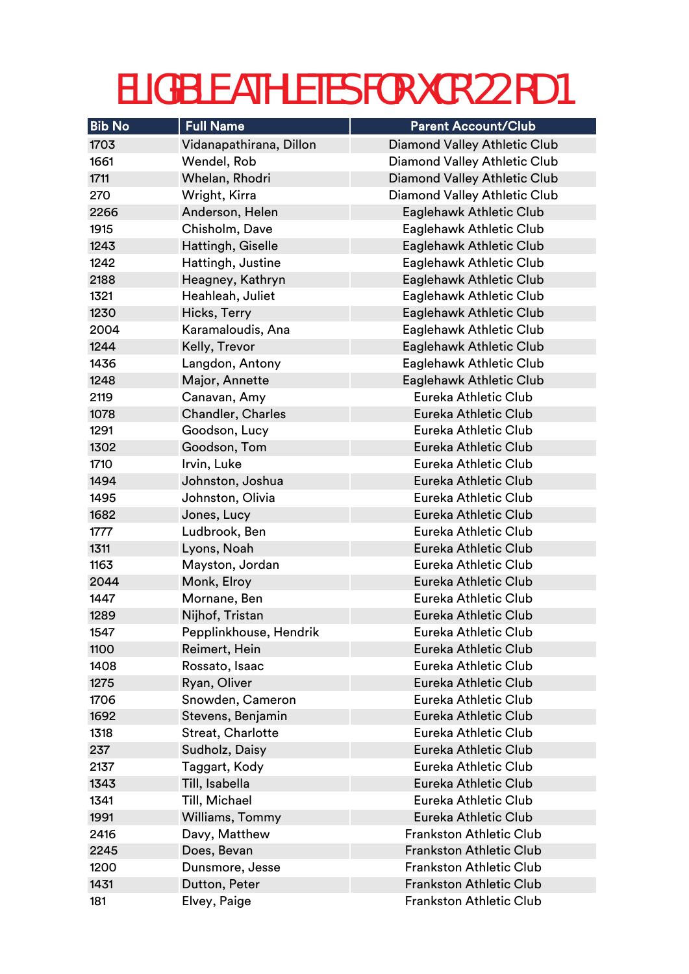| <b>Bib No</b> | <b>Full Name</b>        | <b>Parent Account/Club</b>          |
|---------------|-------------------------|-------------------------------------|
| 1703          | Vidanapathirana, Dillon | <b>Diamond Valley Athletic Club</b> |
| 1661          | Wendel, Rob             | Diamond Valley Athletic Club        |
| 1711          | Whelan, Rhodri          | <b>Diamond Valley Athletic Club</b> |
| 270           | Wright, Kirra           | Diamond Valley Athletic Club        |
| 2266          | Anderson, Helen         | Eaglehawk Athletic Club             |
| 1915          | Chisholm, Dave          | Eaglehawk Athletic Club             |
| 1243          | Hattingh, Giselle       | Eaglehawk Athletic Club             |
| 1242          | Hattingh, Justine       | Eaglehawk Athletic Club             |
| 2188          | Heagney, Kathryn        | Eaglehawk Athletic Club             |
| 1321          | Heahleah, Juliet        | Eaglehawk Athletic Club             |
| 1230          | Hicks, Terry            | Eaglehawk Athletic Club             |
| 2004          | Karamaloudis, Ana       | Eaglehawk Athletic Club             |
| 1244          | Kelly, Trevor           | Eaglehawk Athletic Club             |
| 1436          | Langdon, Antony         | Eaglehawk Athletic Club             |
| 1248          | Major, Annette          | Eaglehawk Athletic Club             |
| 2119          | Canavan, Amy            | Eureka Athletic Club                |
| 1078          | Chandler, Charles       | Eureka Athletic Club                |
| 1291          | Goodson, Lucy           | Eureka Athletic Club                |
| 1302          | Goodson, Tom            | Eureka Athletic Club                |
| 1710          | Irvin, Luke             | Eureka Athletic Club                |
| 1494          | Johnston, Joshua        | Eureka Athletic Club                |
| 1495          | Johnston, Olivia        | Eureka Athletic Club                |
| 1682          | Jones, Lucy             | Eureka Athletic Club                |
| 1777          | Ludbrook, Ben           | Eureka Athletic Club                |
| 1311          | Lyons, Noah             | Eureka Athletic Club                |
| 1163          | Mayston, Jordan         | Eureka Athletic Club                |
| 2044          | Monk, Elroy             | Eureka Athletic Club                |
| 1447          | Mornane, Ben            | Eureka Athletic Club                |
| 1289          | Nijhof, Tristan         | Eureka Athletic Club                |
| 1547          | Pepplinkhouse, Hendrik  | Eureka Athletic Club                |
| 1100          | Reimert, Hein           | Eureka Athletic Club                |
| 1408          | Rossato, Isaac          | Eureka Athletic Club                |
| 1275          | Ryan, Oliver            | Eureka Athletic Club                |
| 1706          | Snowden, Cameron        | Eureka Athletic Club                |
| 1692          | Stevens, Benjamin       | Eureka Athletic Club                |
| 1318          | Streat, Charlotte       | Eureka Athletic Club                |
| 237           | Sudholz, Daisy          | Eureka Athletic Club                |
| 2137          | Taggart, Kody           | Eureka Athletic Club                |
| 1343          | Till, Isabella          | Eureka Athletic Club                |
| 1341          | Till, Michael           | Eureka Athletic Club                |
| 1991          | Williams, Tommy         | Eureka Athletic Club                |
| 2416          | Davy, Matthew           | <b>Frankston Athletic Club</b>      |
| 2245          | Does, Bevan             | <b>Frankston Athletic Club</b>      |
| 1200          | Dunsmore, Jesse         | <b>Frankston Athletic Club</b>      |
| 1431          | Dutton, Peter           | <b>Frankston Athletic Club</b>      |
| 181           | Elvey, Paige            | <b>Frankston Athletic Club</b>      |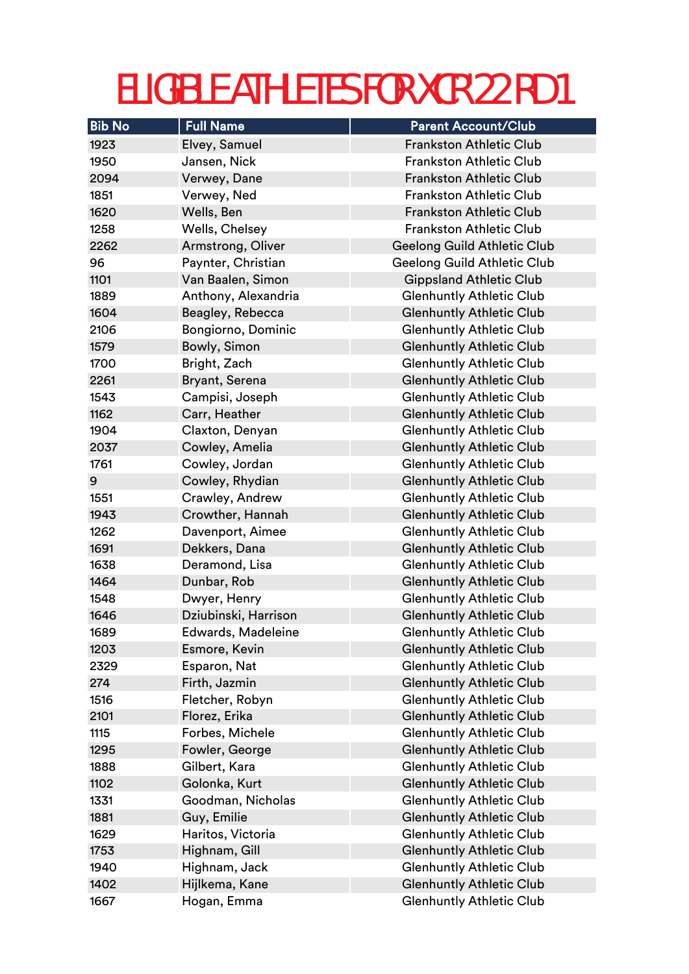| <b>Bib No</b> | <b>Full Name</b>     | <b>Parent Account/Club</b>         |
|---------------|----------------------|------------------------------------|
| 1923          | Elvey, Samuel        | <b>Frankston Athletic Club</b>     |
| 1950          | Jansen, Nick         | <b>Frankston Athletic Club</b>     |
| 2094          | Verwey, Dane         | <b>Frankston Athletic Club</b>     |
| 1851          | Verwey, Ned          | <b>Frankston Athletic Club</b>     |
| 1620          | Wells, Ben           | <b>Frankston Athletic Club</b>     |
| 1258          | Wells, Chelsey       | <b>Frankston Athletic Club</b>     |
| 2262          | Armstrong, Oliver    | <b>Geelong Guild Athletic Club</b> |
| 96            | Paynter, Christian   | <b>Geelong Guild Athletic Club</b> |
| 1101          | Van Baalen, Simon    | <b>Gippsland Athletic Club</b>     |
| 1889          | Anthony, Alexandria  | <b>Glenhuntly Athletic Club</b>    |
| 1604          | Beagley, Rebecca     | <b>Glenhuntly Athletic Club</b>    |
| 2106          | Bongiorno, Dominic   | <b>Glenhuntly Athletic Club</b>    |
| 1579          | Bowly, Simon         | <b>Glenhuntly Athletic Club</b>    |
| 1700          | Bright, Zach         | <b>Glenhuntly Athletic Club</b>    |
| 2261          | Bryant, Serena       | <b>Glenhuntly Athletic Club</b>    |
| 1543          | Campisi, Joseph      | <b>Glenhuntly Athletic Club</b>    |
| 1162          | Carr, Heather        | <b>Glenhuntly Athletic Club</b>    |
| 1904          | Claxton, Denyan      | <b>Glenhuntly Athletic Club</b>    |
| 2037          | Cowley, Amelia       | <b>Glenhuntly Athletic Club</b>    |
| 1761          | Cowley, Jordan       | <b>Glenhuntly Athletic Club</b>    |
| 9             | Cowley, Rhydian      | <b>Glenhuntly Athletic Club</b>    |
| 1551          | Crawley, Andrew      | <b>Glenhuntly Athletic Club</b>    |
| 1943          | Crowther, Hannah     | <b>Glenhuntly Athletic Club</b>    |
| 1262          | Davenport, Aimee     | <b>Glenhuntly Athletic Club</b>    |
| 1691          | Dekkers, Dana        | <b>Glenhuntly Athletic Club</b>    |
| 1638          | Deramond, Lisa       | <b>Glenhuntly Athletic Club</b>    |
| 1464          | Dunbar, Rob          | <b>Glenhuntly Athletic Club</b>    |
| 1548          | Dwyer, Henry         | <b>Glenhuntly Athletic Club</b>    |
| 1646          | Dziubinski, Harrison | <b>Glenhuntly Athletic Club</b>    |
| 1689          | Edwards, Madeleine   | <b>Glenhuntly Athletic Club</b>    |
| 1203          | Esmore, Kevin        | <b>Glenhuntly Athletic Club</b>    |
| 2329          | Esparon, Nat         | <b>Glenhuntly Athletic Club</b>    |
| 274           | Firth, Jazmin        | <b>Glenhuntly Athletic Club</b>    |
| 1516          | Fletcher, Robyn      | <b>Glenhuntly Athletic Club</b>    |
| 2101          | Florez, Erika        | <b>Glenhuntly Athletic Club</b>    |
| 1115          | Forbes, Michele      | <b>Glenhuntly Athletic Club</b>    |
| 1295          | Fowler, George       | <b>Glenhuntly Athletic Club</b>    |
| 1888          | Gilbert, Kara        | <b>Glenhuntly Athletic Club</b>    |
| 1102          | Golonka, Kurt        | <b>Glenhuntly Athletic Club</b>    |
| 1331          | Goodman, Nicholas    | <b>Glenhuntly Athletic Club</b>    |
| 1881          | Guy, Emilie          | <b>Glenhuntly Athletic Club</b>    |
| 1629          | Haritos, Victoria    | <b>Glenhuntly Athletic Club</b>    |
| 1753          | Highnam, Gill        | <b>Glenhuntly Athletic Club</b>    |
| 1940          | Highnam, Jack        | <b>Glenhuntly Athletic Club</b>    |
| 1402          | Hijlkema, Kane       | <b>Glenhuntly Athletic Club</b>    |
| 1667          | Hogan, Emma          | <b>Glenhuntly Athletic Club</b>    |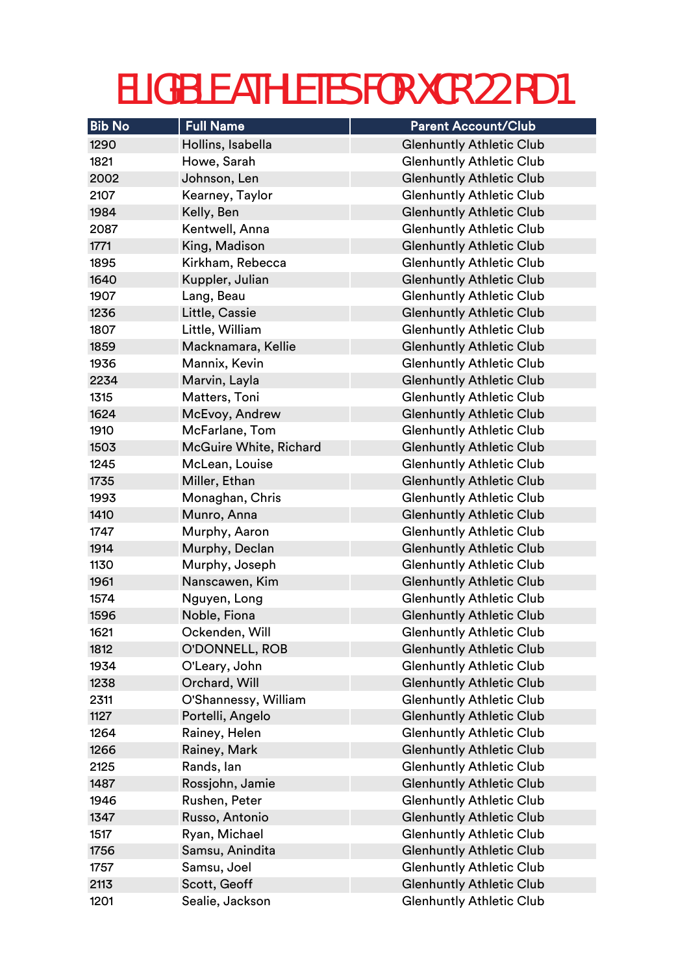| <b>Bib No</b> | <b>Full Name</b>       | <b>Parent Account/Club</b>      |
|---------------|------------------------|---------------------------------|
| 1290          | Hollins, Isabella      | <b>Glenhuntly Athletic Club</b> |
| 1821          | Howe, Sarah            | <b>Glenhuntly Athletic Club</b> |
| 2002          | Johnson, Len           | <b>Glenhuntly Athletic Club</b> |
| 2107          | Kearney, Taylor        | <b>Glenhuntly Athletic Club</b> |
| 1984          | Kelly, Ben             | <b>Glenhuntly Athletic Club</b> |
| 2087          | Kentwell, Anna         | <b>Glenhuntly Athletic Club</b> |
| 1771          | King, Madison          | <b>Glenhuntly Athletic Club</b> |
| 1895          | Kirkham, Rebecca       | <b>Glenhuntly Athletic Club</b> |
| 1640          | Kuppler, Julian        | <b>Glenhuntly Athletic Club</b> |
| 1907          | Lang, Beau             | <b>Glenhuntly Athletic Club</b> |
| 1236          | Little, Cassie         | <b>Glenhuntly Athletic Club</b> |
| 1807          | Little, William        | <b>Glenhuntly Athletic Club</b> |
| 1859          | Macknamara, Kellie     | <b>Glenhuntly Athletic Club</b> |
| 1936          | Mannix, Kevin          | <b>Glenhuntly Athletic Club</b> |
| 2234          | Marvin, Layla          | <b>Glenhuntly Athletic Club</b> |
| 1315          | Matters, Toni          | <b>Glenhuntly Athletic Club</b> |
| 1624          | McEvoy, Andrew         | <b>Glenhuntly Athletic Club</b> |
| 1910          | McFarlane, Tom         | <b>Glenhuntly Athletic Club</b> |
| 1503          | McGuire White, Richard | <b>Glenhuntly Athletic Club</b> |
| 1245          | McLean, Louise         | <b>Glenhuntly Athletic Club</b> |
| 1735          | Miller, Ethan          | <b>Glenhuntly Athletic Club</b> |
| 1993          | Monaghan, Chris        | <b>Glenhuntly Athletic Club</b> |
| 1410          | Munro, Anna            | <b>Glenhuntly Athletic Club</b> |
| 1747          | Murphy, Aaron          | <b>Glenhuntly Athletic Club</b> |
| 1914          | Murphy, Declan         | <b>Glenhuntly Athletic Club</b> |
| 1130          | Murphy, Joseph         | <b>Glenhuntly Athletic Club</b> |
| 1961          | Nanscawen, Kim         | <b>Glenhuntly Athletic Club</b> |
| 1574          | Nguyen, Long           | <b>Glenhuntly Athletic Club</b> |
| 1596          | Noble, Fiona           | <b>Glenhuntly Athletic Club</b> |
| 1621          | Ockenden, Will         | <b>Glenhuntly Athletic Club</b> |
| 1812          | O'DONNELL, ROB         | <b>Glenhuntly Athletic Club</b> |
| 1934          | O'Leary, John          | <b>Glenhuntly Athletic Club</b> |
| 1238          | Orchard, Will          | <b>Glenhuntly Athletic Club</b> |
| 2311          | O'Shannessy, William   | <b>Glenhuntly Athletic Club</b> |
| 1127          | Portelli, Angelo       | <b>Glenhuntly Athletic Club</b> |
| 1264          | Rainey, Helen          | <b>Glenhuntly Athletic Club</b> |
| 1266          | Rainey, Mark           | <b>Glenhuntly Athletic Club</b> |
| 2125          | Rands, lan             | <b>Glenhuntly Athletic Club</b> |
| 1487          | Rossjohn, Jamie        | <b>Glenhuntly Athletic Club</b> |
| 1946          | Rushen, Peter          | <b>Glenhuntly Athletic Club</b> |
| 1347          | Russo, Antonio         | <b>Glenhuntly Athletic Club</b> |
| 1517          | Ryan, Michael          | <b>Glenhuntly Athletic Club</b> |
| 1756          | Samsu, Anindita        | <b>Glenhuntly Athletic Club</b> |
| 1757          | Samsu, Joel            | <b>Glenhuntly Athletic Club</b> |
| 2113          | Scott, Geoff           | <b>Glenhuntly Athletic Club</b> |
| 1201          | Sealie, Jackson        | <b>Glenhuntly Athletic Club</b> |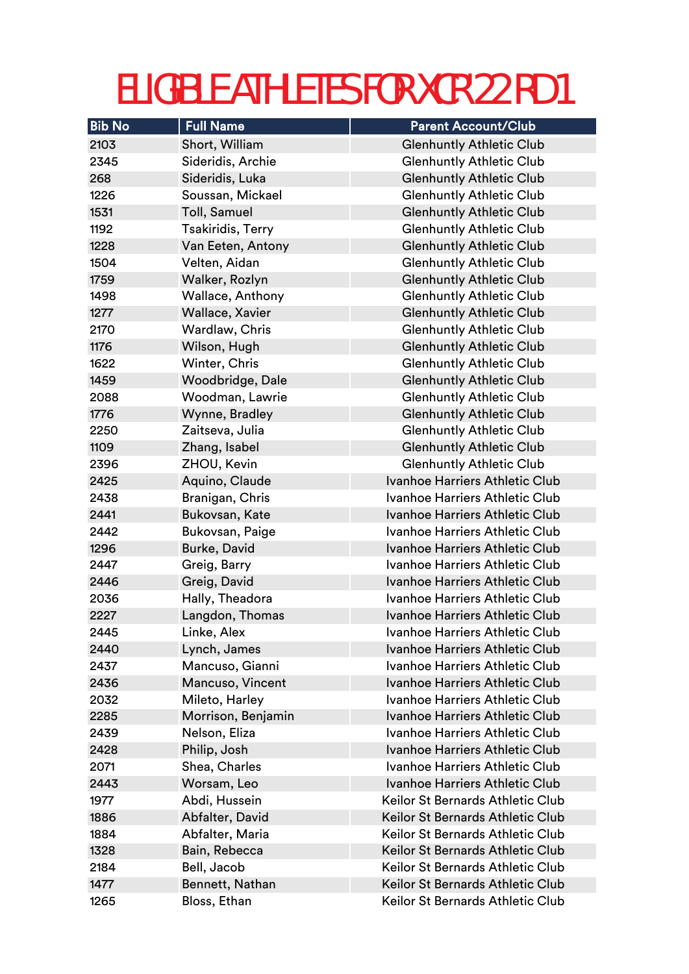| <b>Bib No</b> | <b>Full Name</b>        | <b>Parent Account/Club</b>            |
|---------------|-------------------------|---------------------------------------|
| 2103          | Short, William          | <b>Glenhuntly Athletic Club</b>       |
| 2345          | Sideridis, Archie       | <b>Glenhuntly Athletic Club</b>       |
| 268           | Sideridis, Luka         | <b>Glenhuntly Athletic Club</b>       |
| 1226          | Soussan, Mickael        | <b>Glenhuntly Athletic Club</b>       |
| 1531          | Toll, Samuel            | <b>Glenhuntly Athletic Club</b>       |
| 1192          | Tsakiridis, Terry       | <b>Glenhuntly Athletic Club</b>       |
| 1228          | Van Eeten, Antony       | <b>Glenhuntly Athletic Club</b>       |
| 1504          | Velten, Aidan           | <b>Glenhuntly Athletic Club</b>       |
| 1759          | Walker, Rozlyn          | <b>Glenhuntly Athletic Club</b>       |
| 1498          | <b>Wallace, Anthony</b> | <b>Glenhuntly Athletic Club</b>       |
| 1277          | Wallace, Xavier         | <b>Glenhuntly Athletic Club</b>       |
| 2170          | Wardlaw, Chris          | <b>Glenhuntly Athletic Club</b>       |
| 1176          | Wilson, Hugh            | <b>Glenhuntly Athletic Club</b>       |
| 1622          | Winter, Chris           | <b>Glenhuntly Athletic Club</b>       |
| 1459          | Woodbridge, Dale        | <b>Glenhuntly Athletic Club</b>       |
| 2088          | Woodman, Lawrie         | <b>Glenhuntly Athletic Club</b>       |
| 1776          | Wynne, Bradley          | <b>Glenhuntly Athletic Club</b>       |
| 2250          | Zaitseva, Julia         | <b>Glenhuntly Athletic Club</b>       |
| 1109          | Zhang, Isabel           | <b>Glenhuntly Athletic Club</b>       |
| 2396          | ZHOU, Kevin             | <b>Glenhuntly Athletic Club</b>       |
| 2425          | Aquino, Claude          | Ivanhoe Harriers Athletic Club        |
| 2438          | Branigan, Chris         | Ivanhoe Harriers Athletic Club        |
| 2441          | Bukovsan, Kate          | Ivanhoe Harriers Athletic Club        |
| 2442          | Bukovsan, Paige         | Ivanhoe Harriers Athletic Club        |
| 1296          | Burke, David            | <b>Ivanhoe Harriers Athletic Club</b> |
| 2447          | Greig, Barry            | Ivanhoe Harriers Athletic Club        |
| 2446          | Greig, David            | Ivanhoe Harriers Athletic Club        |
| 2036          | Hally, Theadora         | Ivanhoe Harriers Athletic Club        |
| 2227          | Langdon, Thomas         | <b>Ivanhoe Harriers Athletic Club</b> |
| 2445          | Linke, Alex             | Ivanhoe Harriers Athletic Club        |
| 2440          | Lynch, James            | Ivanhoe Harriers Athletic Club        |
| 2437          | Mancuso, Gianni         | Ivanhoe Harriers Athletic Club        |
| 2436          | Mancuso, Vincent        | <b>Ivanhoe Harriers Athletic Club</b> |
| 2032          | Mileto, Harley          | Ivanhoe Harriers Athletic Club        |
| 2285          | Morrison, Benjamin      | Ivanhoe Harriers Athletic Club        |
| 2439          | Nelson, Eliza           | Ivanhoe Harriers Athletic Club        |
| 2428          | Philip, Josh            | Ivanhoe Harriers Athletic Club        |
| 2071          | Shea, Charles           | Ivanhoe Harriers Athletic Club        |
| 2443          | Worsam, Leo             | <b>Ivanhoe Harriers Athletic Club</b> |
| 1977          | Abdi, Hussein           | Keilor St Bernards Athletic Club      |
| 1886          | Abfalter, David         | Keilor St Bernards Athletic Club      |
| 1884          | Abfalter, Maria         | Keilor St Bernards Athletic Club      |
| 1328          | Bain, Rebecca           | Keilor St Bernards Athletic Club      |
| 2184          | Bell, Jacob             | Keilor St Bernards Athletic Club      |
| 1477          | Bennett, Nathan         | Keilor St Bernards Athletic Club      |
| 1265          | Bloss, Ethan            | Keilor St Bernards Athletic Club      |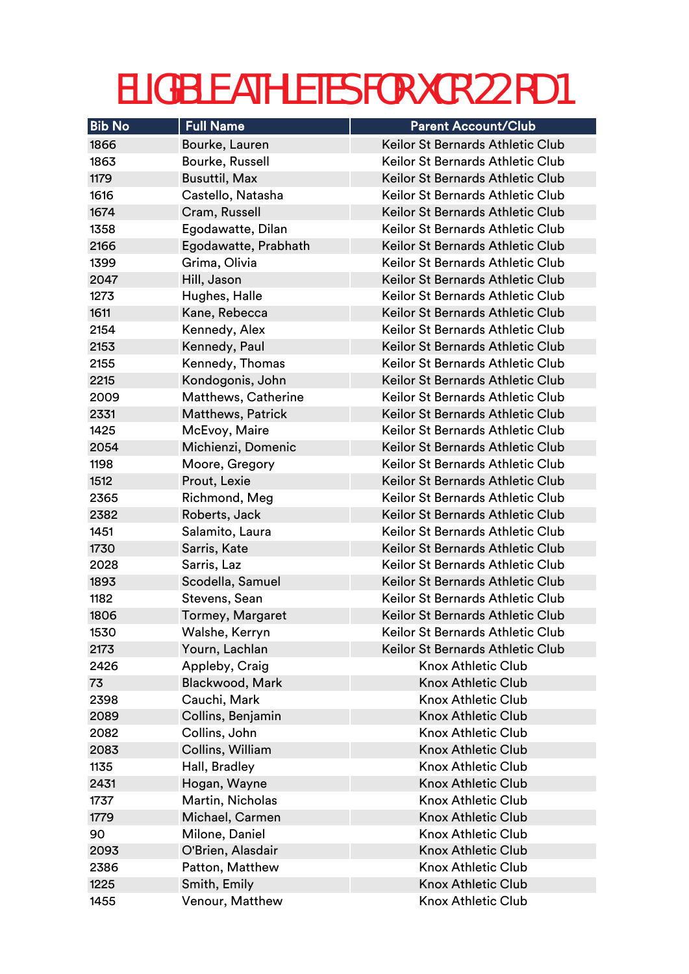| <b>Bib No</b> | <b>Full Name</b>         | <b>Parent Account/Club</b>        |
|---------------|--------------------------|-----------------------------------|
| 1866          | Bourke, Lauren           | Keilor St Bernards Athletic Club  |
| 1863          | Bourke, Russell          | Keilor St Bernards Athletic Club  |
| 1179          | <b>Busuttil, Max</b>     | Keilor St Bernards Athletic Club  |
| 1616          | Castello, Natasha        | Keilor St Bernards Athletic Club  |
| 1674          | Cram, Russell            | Keilor St Bernards Athletic Club  |
| 1358          | Egodawatte, Dilan        | Keilor St Bernards Athletic Club  |
| 2166          | Egodawatte, Prabhath     | Keilor St Bernards Athletic Club  |
| 1399          | Grima, Olivia            | Keilor St Bernards Athletic Club  |
| 2047          | Hill, Jason              | Keilor St Bernards Athletic Club  |
| 1273          | Hughes, Halle            | Keilor St Bernards Athletic Club  |
| 1611          | Kane, Rebecca            | Keilor St Bernards Athletic Club  |
| 2154          | Kennedy, Alex            | Keilor St Bernards Athletic Club  |
| 2153          | Kennedy, Paul            | Keilor St Bernards Athletic Club  |
| 2155          | Kennedy, Thomas          | Keilor St Bernards Athletic Club  |
| 2215          | Kondogonis, John         | Keilor St Bernards Athletic Club  |
| 2009          | Matthews, Catherine      | Keilor St Bernards Athletic Club  |
| 2331          | <b>Matthews, Patrick</b> | Keilor St Bernards Athletic Club  |
| 1425          | McEvoy, Maire            | Keilor St Bernards Athletic Club  |
| 2054          | Michienzi, Domenic       | Keilor St Bernards Athletic Club  |
| 1198          | Moore, Gregory           | Keilor St Bernards Athletic Club  |
| 1512          | Prout, Lexie             | Keilor St Bernards Athletic Club  |
| 2365          | Richmond, Meg            | Keilor St Bernards Athletic Club  |
| 2382          | Roberts, Jack            | Keilor St Bernards Athletic Club  |
| 1451          | Salamito, Laura          | Keilor St Bernards Athletic Club  |
| 1730          | Sarris, Kate             | Keilor St Bernards Athletic Club  |
| 2028          | Sarris, Laz              | Keilor St Bernards Athletic Club  |
| 1893          | Scodella, Samuel         | Keilor St Bernards Athletic Club  |
| 1182          | Stevens, Sean            | Keilor St Bernards Athletic Club  |
| 1806          | <b>Tormey, Margaret</b>  | Keilor St Bernards Athletic Club  |
| 1530          | Walshe, Kerryn           | Keilor St Bernards Athletic Club. |
| 2173          | Yourn, Lachlan           | Keilor St Bernards Athletic Club  |
| 2426          | Appleby, Craig           | <b>Knox Athletic Club</b>         |
| 73            | Blackwood, Mark          | <b>Knox Athletic Club</b>         |
| 2398          | Cauchi, Mark             | <b>Knox Athletic Club</b>         |
| 2089          | Collins, Benjamin        | <b>Knox Athletic Club</b>         |
| 2082          | Collins, John            | <b>Knox Athletic Club</b>         |
| 2083          | Collins, William         | <b>Knox Athletic Club</b>         |
| 1135          | Hall, Bradley            | <b>Knox Athletic Club</b>         |
| 2431          | Hogan, Wayne             | <b>Knox Athletic Club</b>         |
| 1737          | Martin, Nicholas         | <b>Knox Athletic Club</b>         |
| 1779          | Michael, Carmen          | <b>Knox Athletic Club</b>         |
| 90            | Milone, Daniel           | <b>Knox Athletic Club</b>         |
| 2093          | O'Brien, Alasdair        | <b>Knox Athletic Club</b>         |
| 2386          | Patton, Matthew          | <b>Knox Athletic Club</b>         |
| 1225          | Smith, Emily             | <b>Knox Athletic Club</b>         |
| 1455          | Venour, Matthew          | <b>Knox Athletic Club</b>         |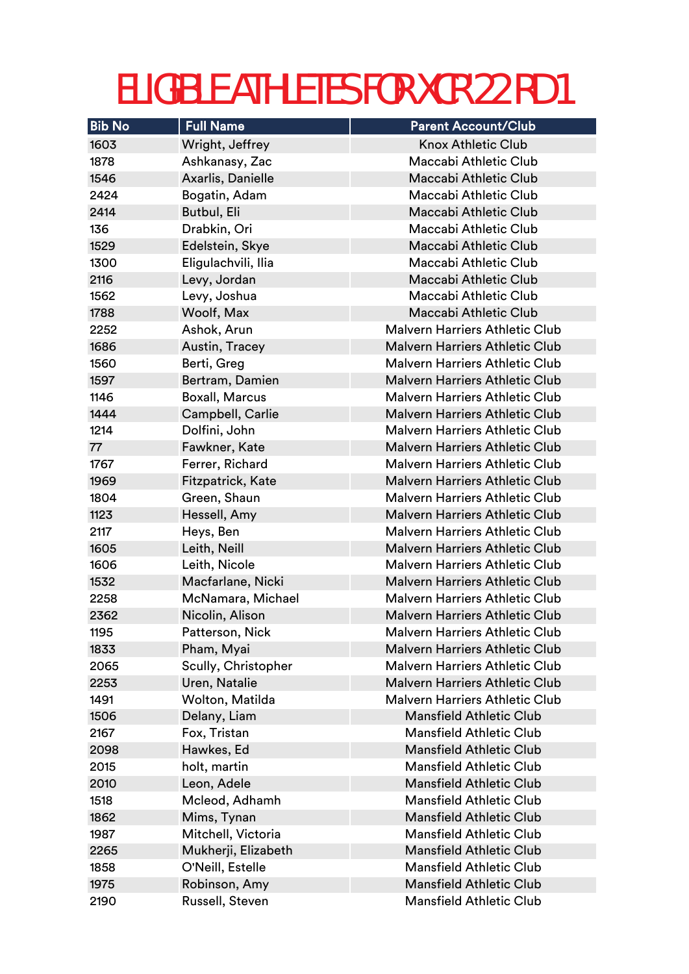| <b>Bib No</b> | <b>Full Name</b>      | <b>Parent Account/Club</b>            |
|---------------|-----------------------|---------------------------------------|
| 1603          | Wright, Jeffrey       | <b>Knox Athletic Club</b>             |
| 1878          | Ashkanasy, Zac        | Maccabi Athletic Club                 |
| 1546          | Axarlis, Danielle     | Maccabi Athletic Club                 |
| 2424          | Bogatin, Adam         | Maccabi Athletic Club                 |
| 2414          | <b>Butbul, Eli</b>    | Maccabi Athletic Club                 |
| 136           | Drabkin, Ori          | Maccabi Athletic Club                 |
| 1529          | Edelstein, Skye       | Maccabi Athletic Club                 |
| 1300          | Eligulachvili, Ilia   | Maccabi Athletic Club                 |
| 2116          | Levy, Jordan          | Maccabi Athletic Club                 |
| 1562          | Levy, Joshua          | Maccabi Athletic Club                 |
| 1788          | Woolf, Max            | Maccabi Athletic Club                 |
| 2252          | Ashok, Arun           | <b>Malvern Harriers Athletic Club</b> |
| 1686          | Austin, Tracey        | Malvern Harriers Athletic Club        |
| 1560          | Berti, Greg           | <b>Malvern Harriers Athletic Club</b> |
| 1597          | Bertram, Damien       | <b>Malvern Harriers Athletic Club</b> |
| 1146          | <b>Boxall, Marcus</b> | Malvern Harriers Athletic Club        |
| 1444          | Campbell, Carlie      | <b>Malvern Harriers Athletic Club</b> |
| 1214          | Dolfini, John         | <b>Malvern Harriers Athletic Club</b> |
| 77            | Fawkner, Kate         | <b>Malvern Harriers Athletic Club</b> |
| 1767          | Ferrer, Richard       | <b>Malvern Harriers Athletic Club</b> |
| 1969          | Fitzpatrick, Kate     | <b>Malvern Harriers Athletic Club</b> |
| 1804          | Green, Shaun          | <b>Malvern Harriers Athletic Club</b> |
| 1123          | Hessell, Amy          | <b>Malvern Harriers Athletic Club</b> |
| 2117          | Heys, Ben             | <b>Malvern Harriers Athletic Club</b> |
| 1605          | Leith, Neill          | <b>Malvern Harriers Athletic Club</b> |
| 1606          | Leith, Nicole         | <b>Malvern Harriers Athletic Club</b> |
| 1532          | Macfarlane, Nicki     | <b>Malvern Harriers Athletic Club</b> |
| 2258          | McNamara, Michael     | <b>Malvern Harriers Athletic Club</b> |
| 2362          | Nicolin, Alison       | Malvern Harriers Athletic Club        |
| 1195          | Patterson, Nick       | Malvern Harriers Athletic Club        |
| 1833          | Pham, Myai            | <b>Malvern Harriers Athletic Club</b> |
| 2065          | Scully, Christopher   | <b>Malvern Harriers Athletic Club</b> |
| 2253          | Uren, Natalie         | Malvern Harriers Athletic Club        |
| 1491          | Wolton, Matilda       | <b>Malvern Harriers Athletic Club</b> |
| 1506          | Delany, Liam          | <b>Mansfield Athletic Club</b>        |
| 2167          | Fox, Tristan          | <b>Mansfield Athletic Club</b>        |
| 2098          | Hawkes, Ed            | <b>Mansfield Athletic Club</b>        |
| 2015          | holt, martin          | <b>Mansfield Athletic Club</b>        |
| 2010          | Leon, Adele           | <b>Mansfield Athletic Club</b>        |
| 1518          | Mcleod, Adhamh        | <b>Mansfield Athletic Club</b>        |
| 1862          | Mims, Tynan           | <b>Mansfield Athletic Club</b>        |
| 1987          | Mitchell, Victoria    | <b>Mansfield Athletic Club</b>        |
| 2265          | Mukherji, Elizabeth   | <b>Mansfield Athletic Club</b>        |
| 1858          | O'Neill, Estelle      | <b>Mansfield Athletic Club</b>        |
| 1975          | Robinson, Amy         | <b>Mansfield Athletic Club</b>        |
| 2190          | Russell, Steven       | <b>Mansfield Athletic Club</b>        |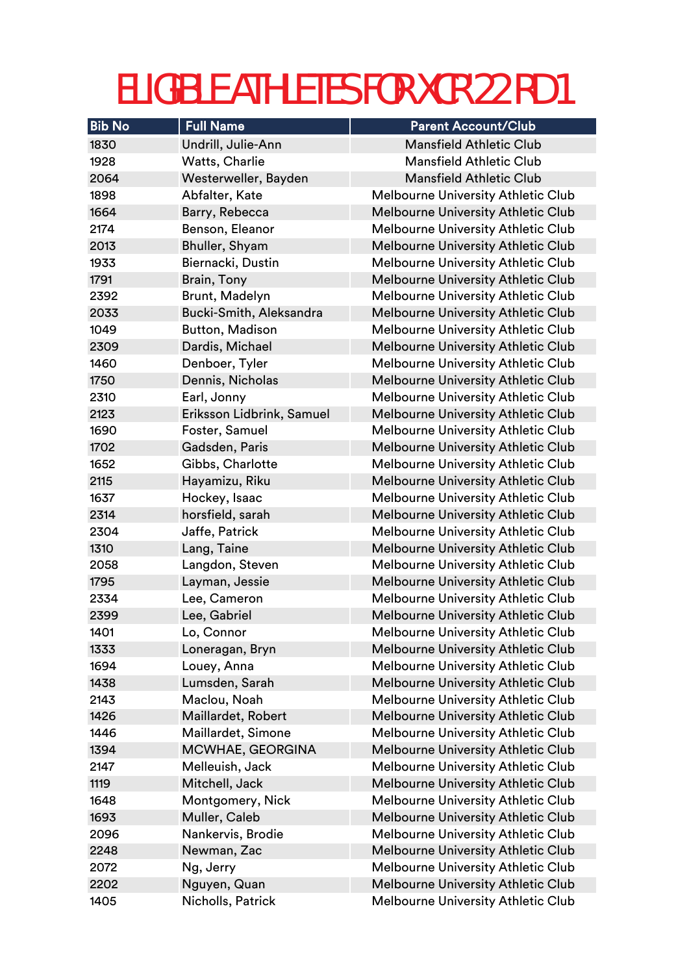| <b>Bib No</b> | <b>Full Name</b>          | <b>Parent Account/Club</b>                |
|---------------|---------------------------|-------------------------------------------|
| 1830          | Undrill, Julie-Ann        | <b>Mansfield Athletic Club</b>            |
| 1928          | Watts, Charlie            | <b>Mansfield Athletic Club</b>            |
| 2064          | Westerweller, Bayden      | <b>Mansfield Athletic Club</b>            |
| 1898          | Abfalter, Kate            | Melbourne University Athletic Club        |
| 1664          | Barry, Rebecca            | <b>Melbourne University Athletic Club</b> |
| 2174          | Benson, Eleanor           | <b>Melbourne University Athletic Club</b> |
| 2013          | Bhuller, Shyam            | <b>Melbourne University Athletic Club</b> |
| 1933          | Biernacki, Dustin         | <b>Melbourne University Athletic Club</b> |
| 1791          | Brain, Tony               | <b>Melbourne University Athletic Club</b> |
| 2392          | Brunt, Madelyn            | <b>Melbourne University Athletic Club</b> |
| 2033          | Bucki-Smith, Aleksandra   | <b>Melbourne University Athletic Club</b> |
| 1049          | <b>Button, Madison</b>    | <b>Melbourne University Athletic Club</b> |
| 2309          | Dardis, Michael           | <b>Melbourne University Athletic Club</b> |
| 1460          | Denboer, Tyler            | <b>Melbourne University Athletic Club</b> |
| 1750          | Dennis, Nicholas          | <b>Melbourne University Athletic Club</b> |
| 2310          | Earl, Jonny               | <b>Melbourne University Athletic Club</b> |
| 2123          | Eriksson Lidbrink, Samuel | Melbourne University Athletic Club        |
| 1690          | Foster, Samuel            | <b>Melbourne University Athletic Club</b> |
| 1702          | Gadsden, Paris            | <b>Melbourne University Athletic Club</b> |
| 1652          | Gibbs, Charlotte          | <b>Melbourne University Athletic Club</b> |
| 2115          | Hayamizu, Riku            | <b>Melbourne University Athletic Club</b> |
| 1637          | Hockey, Isaac             | <b>Melbourne University Athletic Club</b> |
| 2314          | horsfield, sarah          | <b>Melbourne University Athletic Club</b> |
| 2304          | Jaffe, Patrick            | <b>Melbourne University Athletic Club</b> |
| 1310          | Lang, Taine               | <b>Melbourne University Athletic Club</b> |
| 2058          | Langdon, Steven           | <b>Melbourne University Athletic Club</b> |
| 1795          | Layman, Jessie            | <b>Melbourne University Athletic Club</b> |
| 2334          | Lee, Cameron              | <b>Melbourne University Athletic Club</b> |
| 2399          | Lee, Gabriel              | Melbourne University Athletic Club        |
| 1401          | Lo, Connor                | <b>Melbourne University Athletic Club</b> |
| 1333          | Loneragan, Bryn           | <b>Melbourne University Athletic Club</b> |
| 1694          | Louey, Anna               | <b>Melbourne University Athletic Club</b> |
| 1438          | Lumsden, Sarah            | Melbourne University Athletic Club        |
| 2143          | Maclou, Noah              | Melbourne University Athletic Club        |
| 1426          | Maillardet, Robert        | <b>Melbourne University Athletic Club</b> |
| 1446          | Maillardet, Simone        | Melbourne University Athletic Club        |
| 1394          | MCWHAE, GEORGINA          | <b>Melbourne University Athletic Club</b> |
| 2147          | Melleuish, Jack           | <b>Melbourne University Athletic Club</b> |
| 1119          | Mitchell, Jack            | <b>Melbourne University Athletic Club</b> |
| 1648          | Montgomery, Nick          | Melbourne University Athletic Club        |
| 1693          | Muller, Caleb             | <b>Melbourne University Athletic Club</b> |
| 2096          | Nankervis, Brodie         | <b>Melbourne University Athletic Club</b> |
| 2248          | Newman, Zac               | <b>Melbourne University Athletic Club</b> |
| 2072          | Ng, Jerry                 | Melbourne University Athletic Club        |
| 2202          | Nguyen, Quan              | <b>Melbourne University Athletic Club</b> |
| 1405          | Nicholls, Patrick         | Melbourne University Athletic Club        |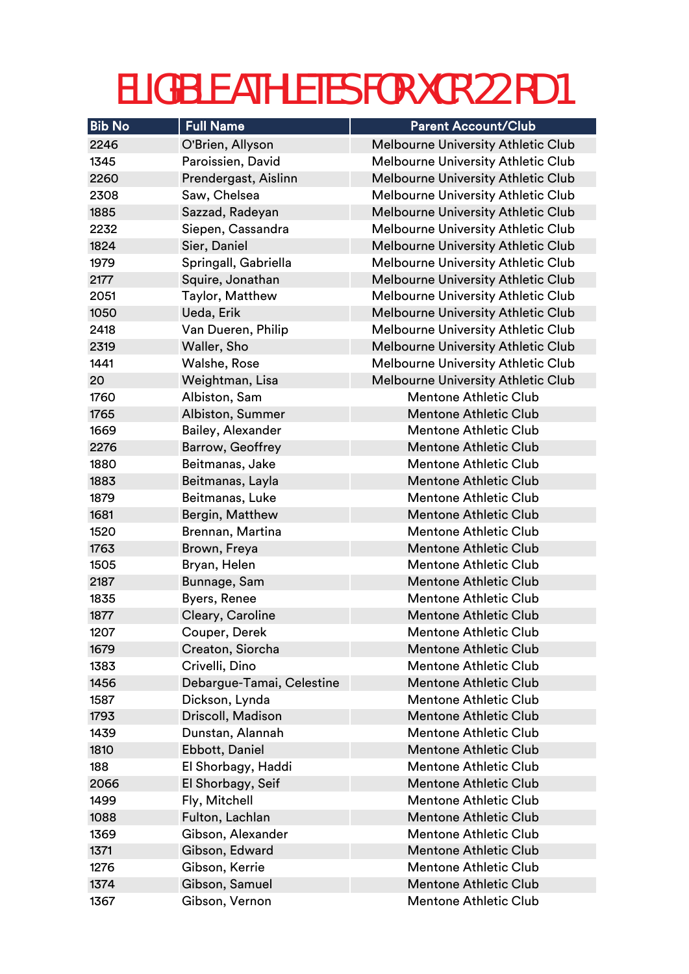| <b>Bib No</b> | <b>Full Name</b>          | <b>Parent Account/Club</b>                |
|---------------|---------------------------|-------------------------------------------|
| 2246          | O'Brien, Allyson          | <b>Melbourne University Athletic Club</b> |
| 1345          | Paroissien, David         | <b>Melbourne University Athletic Club</b> |
| 2260          | Prendergast, Aislinn      | <b>Melbourne University Athletic Club</b> |
| 2308          | Saw, Chelsea              | Melbourne University Athletic Club        |
| 1885          | Sazzad, Radeyan           | <b>Melbourne University Athletic Club</b> |
| 2232          | Siepen, Cassandra         | Melbourne University Athletic Club        |
| 1824          | Sier, Daniel              | <b>Melbourne University Athletic Club</b> |
| 1979          | Springall, Gabriella      | <b>Melbourne University Athletic Club</b> |
| 2177          | Squire, Jonathan          | <b>Melbourne University Athletic Club</b> |
| 2051          | Taylor, Matthew           | <b>Melbourne University Athletic Club</b> |
| 1050          | Ueda, Erik                | <b>Melbourne University Athletic Club</b> |
| 2418          | Van Dueren, Philip        | <b>Melbourne University Athletic Club</b> |
| 2319          | Waller, Sho               | <b>Melbourne University Athletic Club</b> |
| 1441          | Walshe, Rose              | <b>Melbourne University Athletic Club</b> |
| 20            | Weightman, Lisa           | <b>Melbourne University Athletic Club</b> |
| 1760          | Albiston, Sam             | <b>Mentone Athletic Club</b>              |
| 1765          | Albiston, Summer          | <b>Mentone Athletic Club</b>              |
| 1669          | Bailey, Alexander         | <b>Mentone Athletic Club</b>              |
| 2276          | Barrow, Geoffrey          | <b>Mentone Athletic Club</b>              |
| 1880          | Beitmanas, Jake           | <b>Mentone Athletic Club</b>              |
| 1883          | Beitmanas, Layla          | <b>Mentone Athletic Club</b>              |
| 1879          | Beitmanas, Luke           | <b>Mentone Athletic Club</b>              |
| 1681          | Bergin, Matthew           | <b>Mentone Athletic Club</b>              |
| 1520          | Brennan, Martina          | <b>Mentone Athletic Club</b>              |
| 1763          | Brown, Freya              | <b>Mentone Athletic Club</b>              |
| 1505          | Bryan, Helen              | <b>Mentone Athletic Club</b>              |
| 2187          | Bunnage, Sam              | <b>Mentone Athletic Club</b>              |
| 1835          | Byers, Renee              | <b>Mentone Athletic Club</b>              |
| 1877          | Cleary, Caroline          | <b>Mentone Athletic Club</b>              |
| 1207          | Couper, Derek             | <b>Mentone Athletic Club</b>              |
| 1679          | Creaton, Siorcha          | <b>Mentone Athletic Club</b>              |
| 1383          | Crivelli, Dino            | <b>Mentone Athletic Club</b>              |
| 1456          | Debargue-Tamai, Celestine | <b>Mentone Athletic Club</b>              |
| 1587          | Dickson, Lynda            | <b>Mentone Athletic Club</b>              |
| 1793          | Driscoll, Madison         | <b>Mentone Athletic Club</b>              |
| 1439          | Dunstan, Alannah          | <b>Mentone Athletic Club</b>              |
| 1810          | Ebbott, Daniel            | <b>Mentone Athletic Club</b>              |
| 188           | El Shorbagy, Haddi        | <b>Mentone Athletic Club</b>              |
| 2066          | El Shorbagy, Seif         | <b>Mentone Athletic Club</b>              |
| 1499          | Fly, Mitchell             | <b>Mentone Athletic Club</b>              |
| 1088          | Fulton, Lachlan           | <b>Mentone Athletic Club</b>              |
| 1369          | Gibson, Alexander         | <b>Mentone Athletic Club</b>              |
| 1371          | Gibson, Edward            | <b>Mentone Athletic Club</b>              |
| 1276          | Gibson, Kerrie            | <b>Mentone Athletic Club</b>              |
| 1374          | Gibson, Samuel            | <b>Mentone Athletic Club</b>              |
| 1367          | Gibson, Vernon            | <b>Mentone Athletic Club</b>              |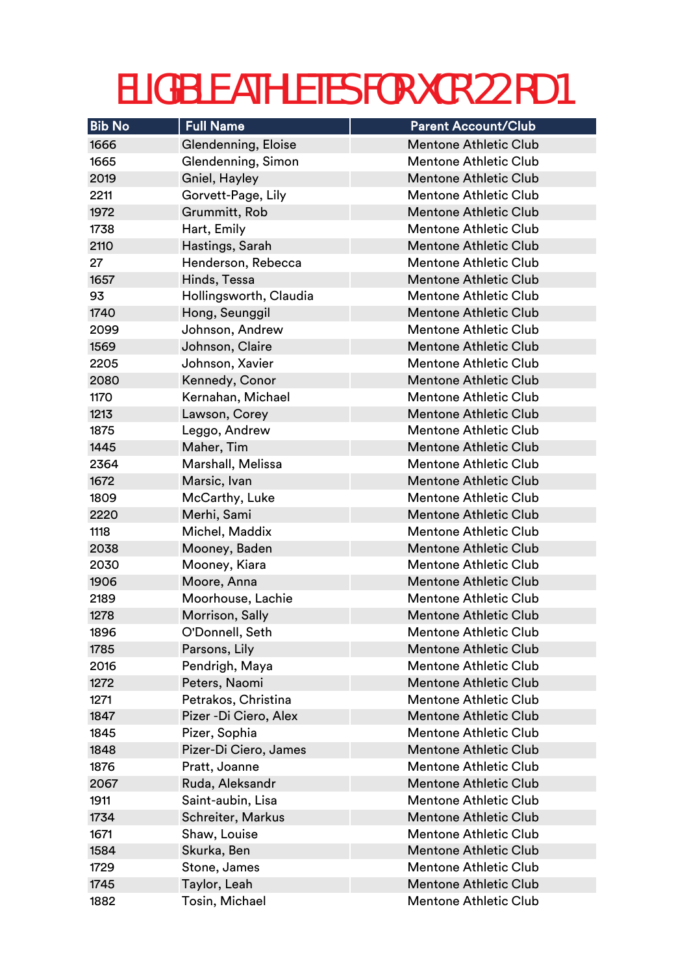| <b>Bib No</b> | <b>Full Name</b>       | <b>Parent Account/Club</b>   |
|---------------|------------------------|------------------------------|
| 1666          | Glendenning, Eloise    | <b>Mentone Athletic Club</b> |
| 1665          | Glendenning, Simon     | <b>Mentone Athletic Club</b> |
| 2019          | Gniel, Hayley          | <b>Mentone Athletic Club</b> |
| 2211          | Gorvett-Page, Lily     | <b>Mentone Athletic Club</b> |
| 1972          | Grummitt, Rob          | <b>Mentone Athletic Club</b> |
| 1738          | Hart, Emily            | <b>Mentone Athletic Club</b> |
| 2110          | Hastings, Sarah        | <b>Mentone Athletic Club</b> |
| 27            | Henderson, Rebecca     | <b>Mentone Athletic Club</b> |
| 1657          | Hinds, Tessa           | <b>Mentone Athletic Club</b> |
| 93            | Hollingsworth, Claudia | <b>Mentone Athletic Club</b> |
| 1740          | Hong, Seunggil         | <b>Mentone Athletic Club</b> |
| 2099          | Johnson, Andrew        | <b>Mentone Athletic Club</b> |
| 1569          | Johnson, Claire        | <b>Mentone Athletic Club</b> |
| 2205          | Johnson, Xavier        | <b>Mentone Athletic Club</b> |
| 2080          | Kennedy, Conor         | <b>Mentone Athletic Club</b> |
| 1170          | Kernahan, Michael      | <b>Mentone Athletic Club</b> |
| 1213          | Lawson, Corey          | <b>Mentone Athletic Club</b> |
| 1875          | Leggo, Andrew          | <b>Mentone Athletic Club</b> |
| 1445          | Maher, Tim             | <b>Mentone Athletic Club</b> |
| 2364          | Marshall, Melissa      | <b>Mentone Athletic Club</b> |
| 1672          | Marsic, Ivan           | <b>Mentone Athletic Club</b> |
| 1809          | McCarthy, Luke         | <b>Mentone Athletic Club</b> |
| 2220          | Merhi, Sami            | <b>Mentone Athletic Club</b> |
| 1118          | Michel, Maddix         | <b>Mentone Athletic Club</b> |
| 2038          | Mooney, Baden          | <b>Mentone Athletic Club</b> |
| 2030          | Mooney, Kiara          | <b>Mentone Athletic Club</b> |
| 1906          | Moore, Anna            | <b>Mentone Athletic Club</b> |
| 2189          | Moorhouse, Lachie      | <b>Mentone Athletic Club</b> |
| 1278          | Morrison, Sally        | <b>Mentone Athletic Club</b> |
| 1896          | O'Donnell, Seth        | Mentone Athletic Club        |
| 1785          | Parsons, Lily          | <b>Mentone Athletic Club</b> |
| 2016          | Pendrigh, Maya         | <b>Mentone Athletic Club</b> |
| 1272          | Peters, Naomi          | <b>Mentone Athletic Club</b> |
| 1271          | Petrakos, Christina    | <b>Mentone Athletic Club</b> |
| 1847          | Pizer - Di Ciero, Alex | <b>Mentone Athletic Club</b> |
| 1845          | Pizer, Sophia          | <b>Mentone Athletic Club</b> |
| 1848          | Pizer-Di Ciero, James  | <b>Mentone Athletic Club</b> |
| 1876          | Pratt, Joanne          | <b>Mentone Athletic Club</b> |
| 2067          | Ruda, Aleksandr        | <b>Mentone Athletic Club</b> |
| 1911          | Saint-aubin, Lisa      | <b>Mentone Athletic Club</b> |
| 1734          | Schreiter, Markus      | <b>Mentone Athletic Club</b> |
| 1671          | Shaw, Louise           | <b>Mentone Athletic Club</b> |
| 1584          | Skurka, Ben            | <b>Mentone Athletic Club</b> |
| 1729          | Stone, James           | <b>Mentone Athletic Club</b> |
| 1745          | Taylor, Leah           | <b>Mentone Athletic Club</b> |
| 1882          | Tosin, Michael         | <b>Mentone Athletic Club</b> |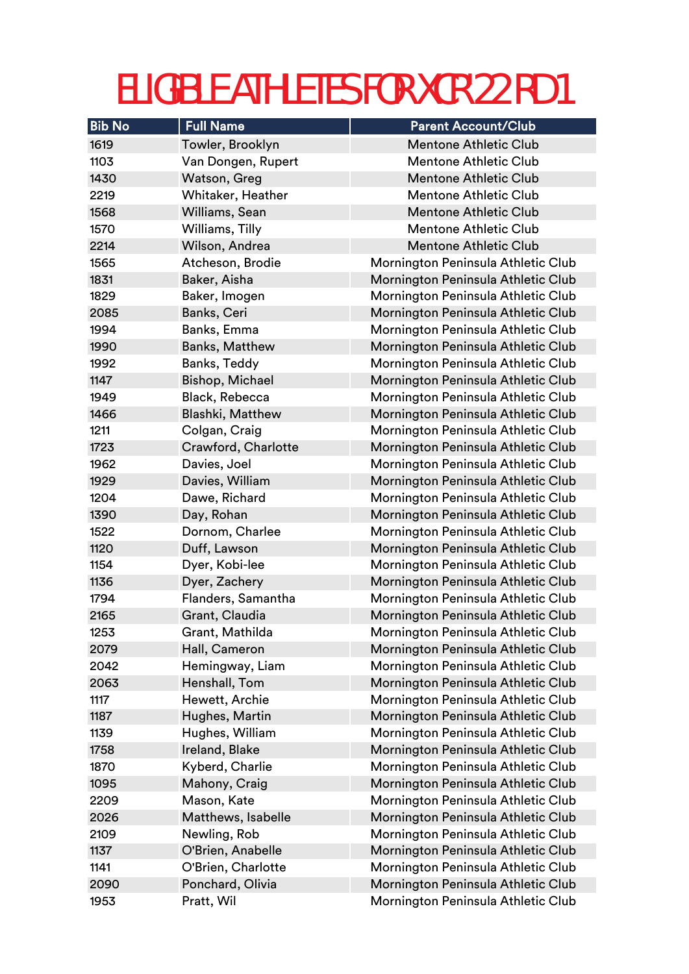| <b>Bib No</b> | <b>Full Name</b>        | <b>Parent Account/Club</b>         |
|---------------|-------------------------|------------------------------------|
| 1619          | Towler, Brooklyn        | <b>Mentone Athletic Club</b>       |
| 1103          | Van Dongen, Rupert      | <b>Mentone Athletic Club</b>       |
| 1430          | Watson, Greg            | <b>Mentone Athletic Club</b>       |
| 2219          | Whitaker, Heather       | <b>Mentone Athletic Club</b>       |
| 1568          | Williams, Sean          | <b>Mentone Athletic Club</b>       |
| 1570          | Williams, Tilly         | <b>Mentone Athletic Club</b>       |
| 2214          | Wilson, Andrea          | <b>Mentone Athletic Club</b>       |
| 1565          | Atcheson, Brodie        | Mornington Peninsula Athletic Club |
| 1831          | Baker, Aisha            | Mornington Peninsula Athletic Club |
| 1829          | Baker, Imogen           | Mornington Peninsula Athletic Club |
| 2085          | Banks, Ceri             | Mornington Peninsula Athletic Club |
| 1994          | Banks, Emma             | Mornington Peninsula Athletic Club |
| 1990          | <b>Banks, Matthew</b>   | Mornington Peninsula Athletic Club |
| 1992          | Banks, Teddy            | Mornington Peninsula Athletic Club |
| 1147          | <b>Bishop, Michael</b>  | Mornington Peninsula Athletic Club |
| 1949          | Black, Rebecca          | Mornington Peninsula Athletic Club |
| 1466          | <b>Blashki, Matthew</b> | Mornington Peninsula Athletic Club |
| 1211          | Colgan, Craig           | Mornington Peninsula Athletic Club |
| 1723          | Crawford, Charlotte     | Mornington Peninsula Athletic Club |
| 1962          | Davies, Joel            | Mornington Peninsula Athletic Club |
| 1929          | Davies, William         | Mornington Peninsula Athletic Club |
| 1204          | Dawe, Richard           | Mornington Peninsula Athletic Club |
| 1390          | Day, Rohan              | Mornington Peninsula Athletic Club |
| 1522          | Dornom, Charlee         | Mornington Peninsula Athletic Club |
| 1120          | Duff, Lawson            | Mornington Peninsula Athletic Club |
| 1154          | Dyer, Kobi-lee          | Mornington Peninsula Athletic Club |
| 1136          | Dyer, Zachery           | Mornington Peninsula Athletic Club |
| 1794          | Flanders, Samantha      | Mornington Peninsula Athletic Club |
| 2165          | Grant, Claudia          | Mornington Peninsula Athletic Club |
| 1253          | Grant, Mathilda         | Mornington Peninsula Athletic Club |
| 2079          | Hall, Cameron           | Mornington Peninsula Athletic Club |
| 2042          | Hemingway, Liam         | Mornington Peninsula Athletic Club |
| 2063          | Henshall, Tom           | Mornington Peninsula Athletic Club |
| 1117          | Hewett, Archie          | Mornington Peninsula Athletic Club |
| 1187          | Hughes, Martin          | Mornington Peninsula Athletic Club |
| 1139          | Hughes, William         | Mornington Peninsula Athletic Club |
| 1758          | Ireland, Blake          | Mornington Peninsula Athletic Club |
| 1870          | Kyberd, Charlie         | Mornington Peninsula Athletic Club |
| 1095          | Mahony, Craig           | Mornington Peninsula Athletic Club |
| 2209          | Mason, Kate             | Mornington Peninsula Athletic Club |
| 2026          | Matthews, Isabelle      | Mornington Peninsula Athletic Club |
| 2109          | Newling, Rob            | Mornington Peninsula Athletic Club |
| 1137          | O'Brien, Anabelle       | Mornington Peninsula Athletic Club |
| 1141          | O'Brien, Charlotte      | Mornington Peninsula Athletic Club |
| 2090          | Ponchard, Olivia        | Mornington Peninsula Athletic Club |
| 1953          | Pratt, Wil              | Mornington Peninsula Athletic Club |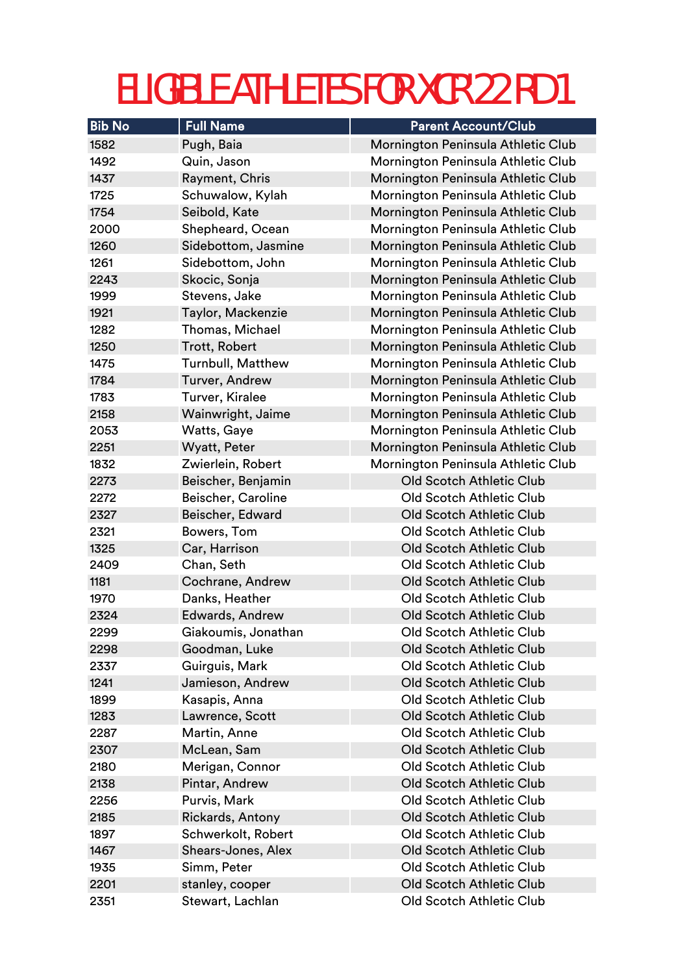| <b>Bib No</b> | <b>Full Name</b>         | <b>Parent Account/Club</b>         |
|---------------|--------------------------|------------------------------------|
| 1582          | Pugh, Baia               | Mornington Peninsula Athletic Club |
| 1492          | Quin, Jason              | Mornington Peninsula Athletic Club |
| 1437          | Rayment, Chris           | Mornington Peninsula Athletic Club |
| 1725          | Schuwalow, Kylah         | Mornington Peninsula Athletic Club |
| 1754          | Seibold, Kate            | Mornington Peninsula Athletic Club |
| 2000          | Shepheard, Ocean         | Mornington Peninsula Athletic Club |
| 1260          | Sidebottom, Jasmine      | Mornington Peninsula Athletic Club |
| 1261          | Sidebottom, John         | Mornington Peninsula Athletic Club |
| 2243          | Skocic, Sonja            | Mornington Peninsula Athletic Club |
| 1999          | Stevens, Jake            | Mornington Peninsula Athletic Club |
| 1921          | Taylor, Mackenzie        | Mornington Peninsula Athletic Club |
| 1282          | Thomas, Michael          | Mornington Peninsula Athletic Club |
| 1250          | <b>Trott, Robert</b>     | Mornington Peninsula Athletic Club |
| 1475          | <b>Turnbull, Matthew</b> | Mornington Peninsula Athletic Club |
| 1784          | Turver, Andrew           | Mornington Peninsula Athletic Club |
| 1783          | Turver, Kiralee          | Mornington Peninsula Athletic Club |
| 2158          | Wainwright, Jaime        | Mornington Peninsula Athletic Club |
| 2053          | Watts, Gaye              | Mornington Peninsula Athletic Club |
| 2251          | <b>Wyatt, Peter</b>      | Mornington Peninsula Athletic Club |
| 1832          | Zwierlein, Robert        | Mornington Peninsula Athletic Club |
| 2273          | Beischer, Benjamin       | <b>Old Scotch Athletic Club</b>    |
| 2272          | Beischer, Caroline       | <b>Old Scotch Athletic Club</b>    |
| 2327          | Beischer, Edward         | <b>Old Scotch Athletic Club</b>    |
| 2321          | Bowers, Tom              | <b>Old Scotch Athletic Club</b>    |
| 1325          | Car, Harrison            | <b>Old Scotch Athletic Club</b>    |
| 2409          | Chan, Seth               | <b>Old Scotch Athletic Club</b>    |
| 1181          | Cochrane, Andrew         | <b>Old Scotch Athletic Club</b>    |
| 1970          | Danks, Heather           | <b>Old Scotch Athletic Club</b>    |
| 2324          | <b>Edwards, Andrew</b>   | <b>Old Scotch Athletic Club</b>    |
| 2299          | Giakoumis, Jonathan      | Old Scotch Athletic Club           |
| 2298          | Goodman, Luke            | <b>Old Scotch Athletic Club</b>    |
| 2337          | Guirguis, Mark           | <b>Old Scotch Athletic Club</b>    |
| 1241          | Jamieson, Andrew         | <b>Old Scotch Athletic Club</b>    |
| 1899          | Kasapis, Anna            | <b>Old Scotch Athletic Club</b>    |
| 1283          | Lawrence, Scott          | <b>Old Scotch Athletic Club</b>    |
| 2287          | Martin, Anne             | <b>Old Scotch Athletic Club</b>    |
| 2307          | McLean, Sam              | <b>Old Scotch Athletic Club</b>    |
| 2180          | Merigan, Connor          | <b>Old Scotch Athletic Club</b>    |
| 2138          | Pintar, Andrew           | <b>Old Scotch Athletic Club</b>    |
| 2256          | Purvis, Mark             | <b>Old Scotch Athletic Club</b>    |
| 2185          | <b>Rickards, Antony</b>  | <b>Old Scotch Athletic Club</b>    |
| 1897          | Schwerkolt, Robert       | Old Scotch Athletic Club           |
| 1467          | Shears-Jones, Alex       | <b>Old Scotch Athletic Club</b>    |
| 1935          | Simm, Peter              | <b>Old Scotch Athletic Club</b>    |
| 2201          | stanley, cooper          | Old Scotch Athletic Club           |
| 2351          | Stewart, Lachlan         | Old Scotch Athletic Club           |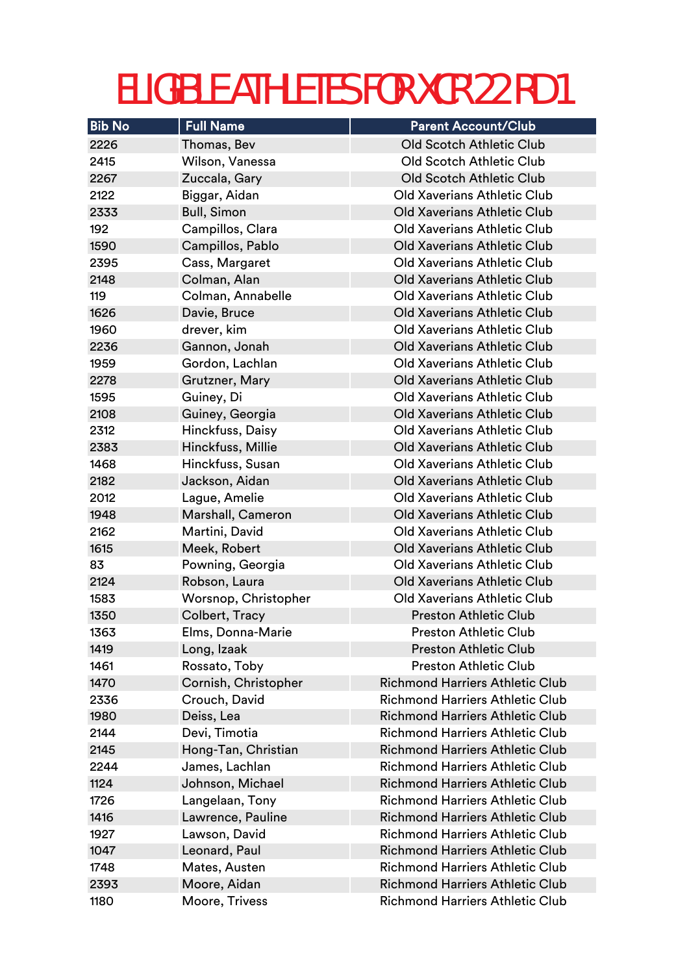| <b>Bib No</b> | <b>Full Name</b>               | <b>Parent Account/Club</b>                                                       |
|---------------|--------------------------------|----------------------------------------------------------------------------------|
| 2226          | Thomas, Bev                    | <b>Old Scotch Athletic Club</b>                                                  |
| 2415          | Wilson, Vanessa                | <b>Old Scotch Athletic Club</b>                                                  |
| 2267          | Zuccala, Gary                  | <b>Old Scotch Athletic Club</b>                                                  |
| 2122          | Biggar, Aidan                  | Old Xaverians Athletic Club                                                      |
| 2333          | <b>Bull, Simon</b>             | <b>Old Xaverians Athletic Club</b>                                               |
| 192           | Campillos, Clara               | <b>Old Xaverians Athletic Club</b>                                               |
| 1590          | Campillos, Pablo               | Old Xaverians Athletic Club                                                      |
| 2395          | Cass, Margaret                 | Old Xaverians Athletic Club                                                      |
| 2148          | Colman, Alan                   | Old Xaverians Athletic Club                                                      |
| 119           | Colman, Annabelle              | <b>Old Xaverians Athletic Club</b>                                               |
| 1626          | Davie, Bruce                   | <b>Old Xaverians Athletic Club</b>                                               |
| 1960          | drever, kim                    | <b>Old Xaverians Athletic Club</b>                                               |
| 2236          | Gannon, Jonah                  | Old Xaverians Athletic Club                                                      |
| 1959          | Gordon, Lachlan                | Old Xaverians Athletic Club                                                      |
| 2278          | Grutzner, Mary                 | <b>Old Xaverians Athletic Club</b>                                               |
| 1595          | Guiney, Di                     | Old Xaverians Athletic Club                                                      |
| 2108          | Guiney, Georgia                | Old Xaverians Athletic Club                                                      |
| 2312          | Hinckfuss, Daisy               | Old Xaverians Athletic Club                                                      |
| 2383          | Hinckfuss, Millie              | <b>Old Xaverians Athletic Club</b>                                               |
| 1468          | Hinckfuss, Susan               | Old Xaverians Athletic Club                                                      |
| 2182          | Jackson, Aidan                 | Old Xaverians Athletic Club                                                      |
| 2012          | Lague, Amelie                  | Old Xaverians Athletic Club                                                      |
| 1948          | Marshall, Cameron              | <b>Old Xaverians Athletic Club</b>                                               |
| 2162          | Martini, David                 | <b>Old Xaverians Athletic Club</b>                                               |
| 1615          | Meek, Robert                   | <b>Old Xaverians Athletic Club</b>                                               |
| 83            | Powning, Georgia               | <b>Old Xaverians Athletic Club</b>                                               |
| 2124          | Robson, Laura                  | <b>Old Xaverians Athletic Club</b>                                               |
| 1583          | Worsnop, Christopher           | <b>Old Xaverians Athletic Club</b>                                               |
| 1350          | Colbert, Tracy                 | <b>Preston Athletic Club</b>                                                     |
| 1363          | Elms, Donna-Marie              | <b>Preston Athletic Club</b>                                                     |
| 1419          | Long, Izaak                    | <b>Preston Athletic Club</b>                                                     |
| 1461          | Rossato, Toby                  | <b>Preston Athletic Club</b>                                                     |
| 1470          | Cornish, Christopher           | <b>Richmond Harriers Athletic Club</b><br><b>Richmond Harriers Athletic Club</b> |
| 2336          | Crouch, David                  |                                                                                  |
| 1980          | Deiss, Lea                     | <b>Richmond Harriers Athletic Club</b><br><b>Richmond Harriers Athletic Club</b> |
| 2144          | Devi, Timotia                  |                                                                                  |
| 2145          | Hong-Tan, Christian            | <b>Richmond Harriers Athletic Club</b><br><b>Richmond Harriers Athletic Club</b> |
| 2244          | James, Lachlan                 | <b>Richmond Harriers Athletic Club</b>                                           |
| 1124          | Johnson, Michael               | <b>Richmond Harriers Athletic Club</b>                                           |
| 1726          | Langelaan, Tony                | <b>Richmond Harriers Athletic Club</b>                                           |
| 1416<br>1927  | Lawrence, Pauline              | <b>Richmond Harriers Athletic Club</b>                                           |
| 1047          | Lawson, David<br>Leonard, Paul | <b>Richmond Harriers Athletic Club</b>                                           |
| 1748          | Mates, Austen                  | <b>Richmond Harriers Athletic Club</b>                                           |
| 2393          | Moore, Aidan                   | <b>Richmond Harriers Athletic Club</b>                                           |
| 1180          | Moore, Trivess                 | <b>Richmond Harriers Athletic Club</b>                                           |
|               |                                |                                                                                  |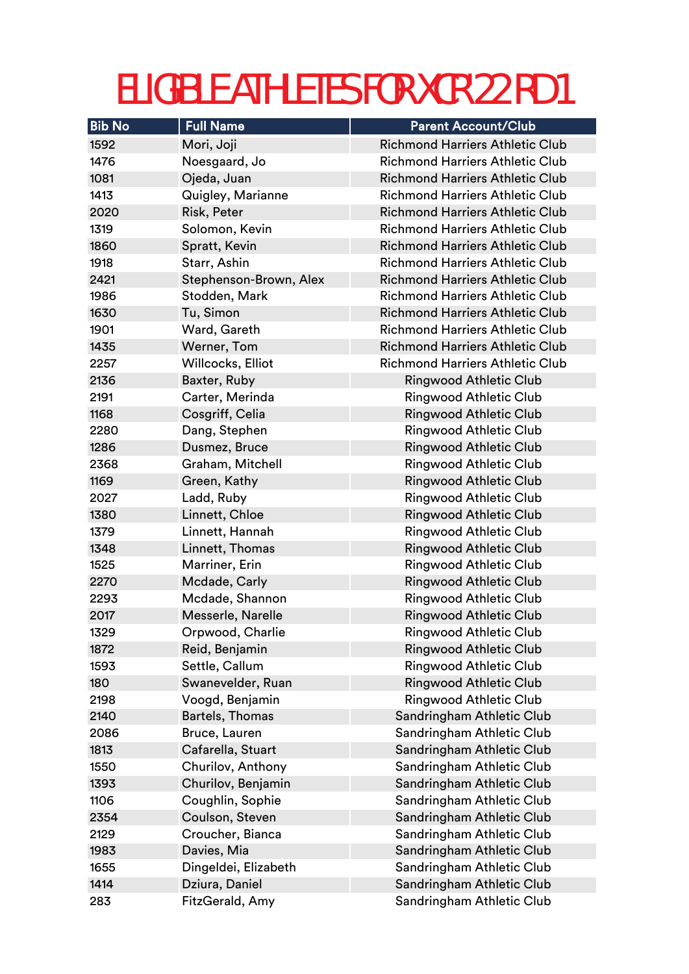| <b>Bib No</b> | <b>Full Name</b>       | <b>Parent Account/Club</b>             |
|---------------|------------------------|----------------------------------------|
| 1592          | Mori, Joji             | <b>Richmond Harriers Athletic Club</b> |
| 1476          | Noesgaard, Jo          | <b>Richmond Harriers Athletic Club</b> |
| 1081          | Ojeda, Juan            | <b>Richmond Harriers Athletic Club</b> |
| 1413          | Quigley, Marianne      | <b>Richmond Harriers Athletic Club</b> |
| 2020          | Risk, Peter            | <b>Richmond Harriers Athletic Club</b> |
| 1319          | Solomon, Kevin         | <b>Richmond Harriers Athletic Club</b> |
| 1860          | Spratt, Kevin          | <b>Richmond Harriers Athletic Club</b> |
| 1918          | Starr, Ashin           | <b>Richmond Harriers Athletic Club</b> |
| 2421          | Stephenson-Brown, Alex | <b>Richmond Harriers Athletic Club</b> |
| 1986          | Stodden, Mark          | <b>Richmond Harriers Athletic Club</b> |
| 1630          | Tu, Simon              | <b>Richmond Harriers Athletic Club</b> |
| 1901          | Ward, Gareth           | <b>Richmond Harriers Athletic Club</b> |
| 1435          | Werner, Tom            | <b>Richmond Harriers Athletic Club</b> |
| 2257          | Willcocks, Elliot      | <b>Richmond Harriers Athletic Club</b> |
| 2136          | Baxter, Ruby           | <b>Ringwood Athletic Club</b>          |
| 2191          | Carter, Merinda        | <b>Ringwood Athletic Club</b>          |
| 1168          | Cosgriff, Celia        | <b>Ringwood Athletic Club</b>          |
| 2280          | Dang, Stephen          | <b>Ringwood Athletic Club</b>          |
| 1286          | Dusmez, Bruce          | <b>Ringwood Athletic Club</b>          |
| 2368          | Graham, Mitchell       | <b>Ringwood Athletic Club</b>          |
| 1169          | Green, Kathy           | <b>Ringwood Athletic Club</b>          |
| 2027          | Ladd, Ruby             | Ringwood Athletic Club                 |
| 1380          | Linnett, Chloe         | Ringwood Athletic Club                 |
| 1379          | Linnett, Hannah        | <b>Ringwood Athletic Club</b>          |
| 1348          | Linnett, Thomas        | <b>Ringwood Athletic Club</b>          |
| 1525          | Marriner, Erin         | <b>Ringwood Athletic Club</b>          |
| 2270          | Mcdade, Carly          | <b>Ringwood Athletic Club</b>          |
| 2293          | Mcdade, Shannon        | <b>Ringwood Athletic Club</b>          |
| 2017          | Messerle, Narelle      | <b>Ringwood Athletic Club</b>          |
| 1329          | Orpwood, Charlie       | Ringwood Athletic Club                 |
| 1872          | Reid, Benjamin         | <b>Ringwood Athletic Club</b>          |
| 1593          | Settle, Callum         | <b>Ringwood Athletic Club</b>          |
| 180           | Swanevelder, Ruan      | Ringwood Athletic Club                 |
| 2198          | Voogd, Benjamin        | Ringwood Athletic Club                 |
| 2140          | Bartels, Thomas        | Sandringham Athletic Club              |
| 2086          | Bruce, Lauren          | Sandringham Athletic Club              |
| 1813          | Cafarella, Stuart      | Sandringham Athletic Club              |
| 1550          | Churilov, Anthony      | Sandringham Athletic Club              |
| 1393          | Churilov, Benjamin     | Sandringham Athletic Club              |
| 1106          | Coughlin, Sophie       | Sandringham Athletic Club              |
| 2354          | Coulson, Steven        | Sandringham Athletic Club              |
| 2129          | Croucher, Bianca       | Sandringham Athletic Club              |
| 1983          | Davies, Mia            | Sandringham Athletic Club              |
| 1655          | Dingeldei, Elizabeth   | Sandringham Athletic Club              |
| 1414          | Dziura, Daniel         | Sandringham Athletic Club              |
| 283           | FitzGerald, Amy        | Sandringham Athletic Club              |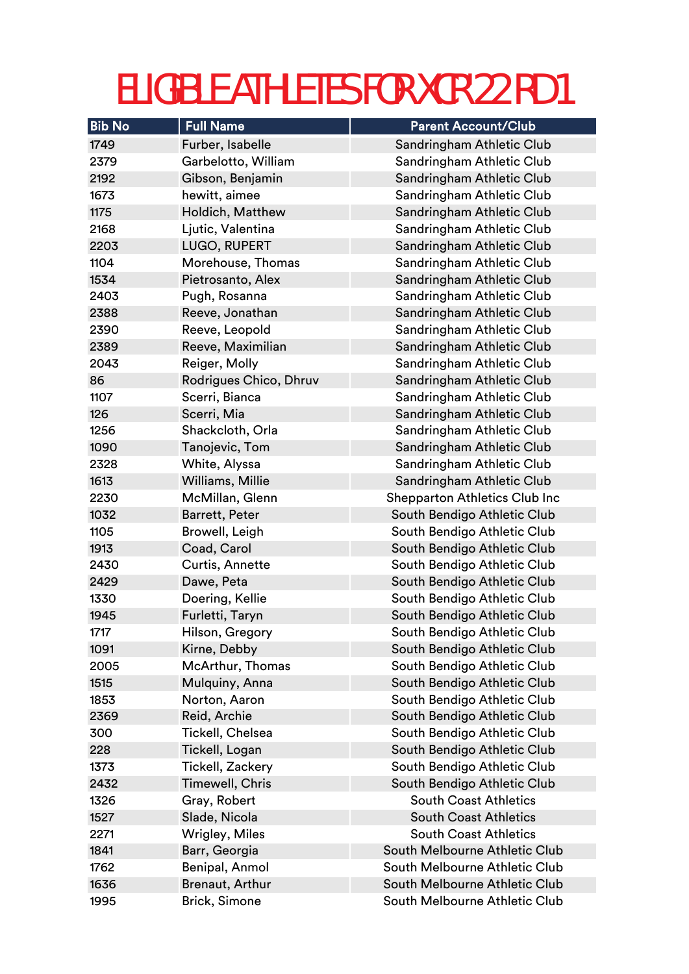| <b>Bib No</b> | <b>Full Name</b>       | <b>Parent Account/Club</b>           |
|---------------|------------------------|--------------------------------------|
| 1749          | Furber, Isabelle       | Sandringham Athletic Club            |
| 2379          | Garbelotto, William    | Sandringham Athletic Club            |
| 2192          | Gibson, Benjamin       | Sandringham Athletic Club            |
| 1673          | hewitt, aimee          | Sandringham Athletic Club            |
| 1175          | Holdich, Matthew       | Sandringham Athletic Club            |
| 2168          | Ljutic, Valentina      | Sandringham Athletic Club            |
| 2203          | LUGO, RUPERT           | Sandringham Athletic Club            |
| 1104          | Morehouse, Thomas      | Sandringham Athletic Club            |
| 1534          | Pietrosanto, Alex      | Sandringham Athletic Club            |
| 2403          | Pugh, Rosanna          | Sandringham Athletic Club            |
| 2388          | Reeve, Jonathan        | Sandringham Athletic Club            |
| 2390          | Reeve, Leopold         | Sandringham Athletic Club            |
| 2389          | Reeve, Maximilian      | Sandringham Athletic Club            |
| 2043          | Reiger, Molly          | Sandringham Athletic Club            |
| 86            | Rodrigues Chico, Dhruv | Sandringham Athletic Club            |
| 1107          | Scerri, Bianca         | Sandringham Athletic Club            |
| 126           | Scerri, Mia            | Sandringham Athletic Club            |
| 1256          | Shackcloth, Orla       | Sandringham Athletic Club            |
| 1090          | Tanojevic, Tom         | Sandringham Athletic Club            |
| 2328          | White, Alyssa          | Sandringham Athletic Club            |
| 1613          | Williams, Millie       | Sandringham Athletic Club            |
| 2230          | McMillan, Glenn        | <b>Shepparton Athletics Club Inc</b> |
| 1032          | <b>Barrett, Peter</b>  | South Bendigo Athletic Club          |
| 1105          | Browell, Leigh         | South Bendigo Athletic Club          |
| 1913          | Coad, Carol            | South Bendigo Athletic Club          |
| 2430          | Curtis, Annette        | South Bendigo Athletic Club          |
| 2429          | Dawe, Peta             | South Bendigo Athletic Club          |
| 1330          | Doering, Kellie        | South Bendigo Athletic Club          |
| 1945          | Furletti, Taryn        | South Bendigo Athletic Club          |
| 1717          | Hilson, Gregory        | South Bendigo Athletic Club          |
| 1091          | Kirne, Debby           | South Bendigo Athletic Club          |
| 2005          | McArthur, Thomas       | South Bendigo Athletic Club          |
| 1515          | Mulquiny, Anna         | South Bendigo Athletic Club          |
| 1853          | Norton, Aaron          | South Bendigo Athletic Club          |
| 2369          | Reid, Archie           | South Bendigo Athletic Club          |
| 300           | Tickell, Chelsea       | South Bendigo Athletic Club          |
| 228           | Tickell, Logan         | South Bendigo Athletic Club          |
| 1373          | Tickell, Zackery       | South Bendigo Athletic Club          |
| 2432          | Timewell, Chris        | South Bendigo Athletic Club          |
| 1326          | Gray, Robert           | <b>South Coast Athletics</b>         |
| 1527          | Slade, Nicola          | <b>South Coast Athletics</b>         |
| 2271          | Wrigley, Miles         | <b>South Coast Athletics</b>         |
| 1841          | Barr, Georgia          | South Melbourne Athletic Club        |
| 1762          | Benipal, Anmol         | South Melbourne Athletic Club        |
| 1636          | <b>Brenaut, Arthur</b> | South Melbourne Athletic Club        |
| 1995          | Brick, Simone          | South Melbourne Athletic Club        |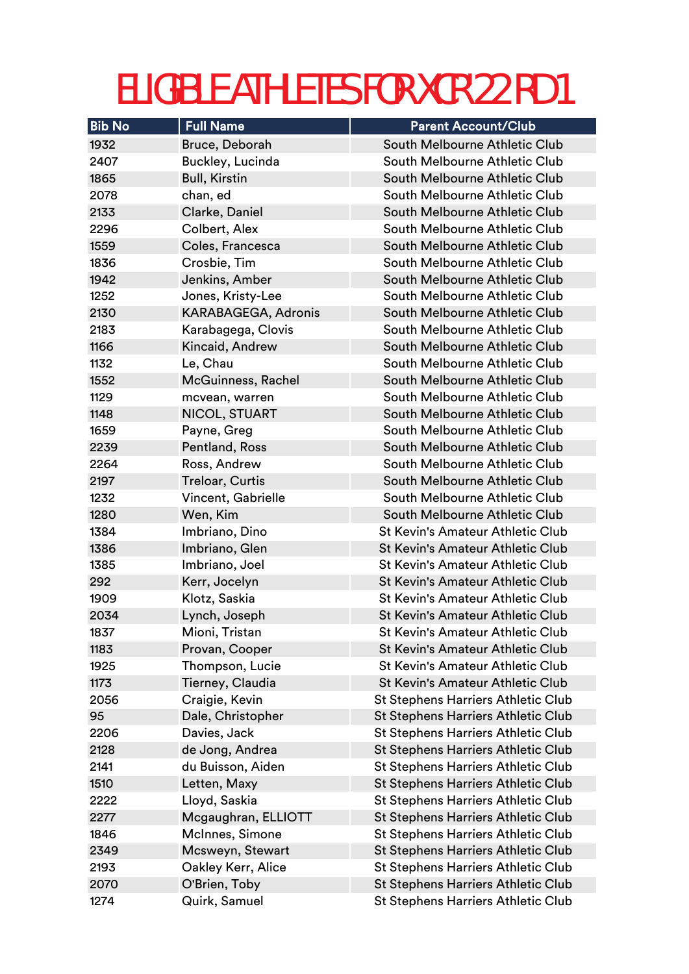| <b>Bib No</b> | <b>Full Name</b>           | <b>Parent Account/Club</b>                |
|---------------|----------------------------|-------------------------------------------|
| 1932          | Bruce, Deborah             | South Melbourne Athletic Club             |
| 2407          | Buckley, Lucinda           | South Melbourne Athletic Club             |
| 1865          | <b>Bull, Kirstin</b>       | South Melbourne Athletic Club             |
| 2078          | chan, ed                   | South Melbourne Athletic Club             |
| 2133          | Clarke, Daniel             | South Melbourne Athletic Club             |
| 2296          | Colbert, Alex              | South Melbourne Athletic Club             |
| 1559          | Coles, Francesca           | South Melbourne Athletic Club             |
| 1836          | Crosbie, Tim               | South Melbourne Athletic Club             |
| 1942          | Jenkins, Amber             | South Melbourne Athletic Club             |
| 1252          | Jones, Kristy-Lee          | South Melbourne Athletic Club             |
| 2130          | <b>KARABAGEGA, Adronis</b> | South Melbourne Athletic Club             |
| 2183          | Karabagega, Clovis         | South Melbourne Athletic Club             |
| 1166          | Kincaid, Andrew            | South Melbourne Athletic Club             |
| 1132          | Le, Chau                   | South Melbourne Athletic Club             |
| 1552          | McGuinness, Rachel         | South Melbourne Athletic Club             |
| 1129          | mcvean, warren             | South Melbourne Athletic Club             |
| 1148          | NICOL, STUART              | South Melbourne Athletic Club             |
| 1659          | Payne, Greg                | South Melbourne Athletic Club             |
| 2239          | Pentland, Ross             | South Melbourne Athletic Club             |
| 2264          | Ross, Andrew               | South Melbourne Athletic Club             |
| 2197          | Treloar, Curtis            | South Melbourne Athletic Club             |
| 1232          | Vincent, Gabrielle         | South Melbourne Athletic Club             |
| 1280          | Wen, Kim                   | South Melbourne Athletic Club             |
| 1384          | Imbriano, Dino             | <b>St Kevin's Amateur Athletic Club</b>   |
| 1386          | Imbriano, Glen             | <b>St Kevin's Amateur Athletic Club</b>   |
| 1385          | Imbriano, Joel             | <b>St Kevin's Amateur Athletic Club</b>   |
| 292           | Kerr, Jocelyn              | <b>St Kevin's Amateur Athletic Club</b>   |
| 1909          | Klotz, Saskia              | <b>St Kevin's Amateur Athletic Club</b>   |
| 2034          | Lynch, Joseph              | <b>St Kevin's Amateur Athletic Club</b>   |
| 1837          | Mioni, Tristan             | <b>St Kevin's Amateur Athletic Club</b>   |
| 1183          | Provan, Cooper             | <b>St Kevin's Amateur Athletic Club</b>   |
| 1925          | Thompson, Lucie            | <b>St Kevin's Amateur Athletic Club</b>   |
| 1173          | Tierney, Claudia           | <b>St Kevin's Amateur Athletic Club</b>   |
| 2056          | Craigie, Kevin             | <b>St Stephens Harriers Athletic Club</b> |
| 95            | Dale, Christopher          | <b>St Stephens Harriers Athletic Club</b> |
| 2206          | Davies, Jack               | <b>St Stephens Harriers Athletic Club</b> |
| 2128          | de Jong, Andrea            | <b>St Stephens Harriers Athletic Club</b> |
| 2141          | du Buisson, Aiden          | <b>St Stephens Harriers Athletic Club</b> |
| 1510          | Letten, Maxy               | <b>St Stephens Harriers Athletic Club</b> |
| 2222          | Lloyd, Saskia              | <b>St Stephens Harriers Athletic Club</b> |
| 2277          | Mcgaughran, ELLIOTT        | <b>St Stephens Harriers Athletic Club</b> |
| 1846          | McInnes, Simone            | <b>St Stephens Harriers Athletic Club</b> |
| 2349          | Mcsweyn, Stewart           | <b>St Stephens Harriers Athletic Club</b> |
| 2193<br>2070  | Oakley Kerr, Alice         | <b>St Stephens Harriers Athletic Club</b> |
|               | O'Brien, Toby              | <b>St Stephens Harriers Athletic Club</b> |
| 1274          | Quirk, Samuel              | <b>St Stephens Harriers Athletic Club</b> |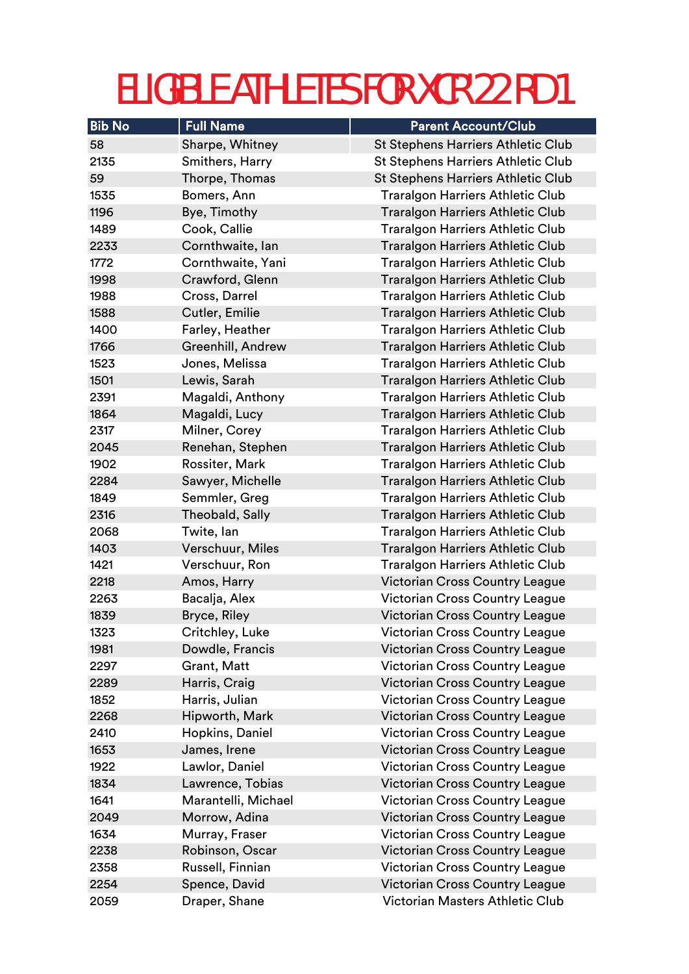| <b>Bib No</b> | <b>Full Name</b>    | <b>Parent Account/Club</b>                |
|---------------|---------------------|-------------------------------------------|
| 58            | Sharpe, Whitney     | <b>St Stephens Harriers Athletic Club</b> |
| 2135          | Smithers, Harry     | <b>St Stephens Harriers Athletic Club</b> |
| 59            | Thorpe, Thomas      | <b>St Stephens Harriers Athletic Club</b> |
| 1535          | Bomers, Ann         | <b>Traralgon Harriers Athletic Club</b>   |
| 1196          | Bye, Timothy        | <b>Traralgon Harriers Athletic Club</b>   |
| 1489          | Cook, Callie        | <b>Traralgon Harriers Athletic Club</b>   |
| 2233          | Cornthwaite, lan    | <b>Traralgon Harriers Athletic Club</b>   |
| 1772          | Cornthwaite, Yani   | <b>Traralgon Harriers Athletic Club</b>   |
| 1998          | Crawford, Glenn     | <b>Traralgon Harriers Athletic Club</b>   |
| 1988          | Cross, Darrel       | <b>Traralgon Harriers Athletic Club</b>   |
| 1588          | Cutler, Emilie      | <b>Traralgon Harriers Athletic Club</b>   |
| 1400          | Farley, Heather     | <b>Traralgon Harriers Athletic Club</b>   |
| 1766          | Greenhill, Andrew   | <b>Traralgon Harriers Athletic Club</b>   |
| 1523          | Jones, Melissa      | <b>Traralgon Harriers Athletic Club</b>   |
| 1501          | Lewis, Sarah        | <b>Traralgon Harriers Athletic Club</b>   |
| 2391          | Magaldi, Anthony    | <b>Traralgon Harriers Athletic Club</b>   |
| 1864          | Magaldi, Lucy       | <b>Traralgon Harriers Athletic Club</b>   |
| 2317          | Milner, Corey       | <b>Traralgon Harriers Athletic Club</b>   |
| 2045          | Renehan, Stephen    | <b>Traralgon Harriers Athletic Club</b>   |
| 1902          | Rossiter, Mark      | <b>Traralgon Harriers Athletic Club</b>   |
| 2284          | Sawyer, Michelle    | <b>Traralgon Harriers Athletic Club</b>   |
| 1849          | Semmler, Greg       | <b>Traralgon Harriers Athletic Club</b>   |
| 2316          | Theobald, Sally     | <b>Traralgon Harriers Athletic Club</b>   |
| 2068          | Twite, lan          | <b>Traralgon Harriers Athletic Club</b>   |
| 1403          | Verschuur, Miles    | <b>Traralgon Harriers Athletic Club</b>   |
| 1421          | Verschuur, Ron      | <b>Traralgon Harriers Athletic Club</b>   |
| 2218          | Amos, Harry         | <b>Victorian Cross Country League</b>     |
| 2263          | Bacalja, Alex       | <b>Victorian Cross Country League</b>     |
| 1839          | Bryce, Riley        | <b>Victorian Cross Country League</b>     |
| 1323          | Critchley, Luke     | <b>Victorian Cross Country League</b>     |
| 1981          | Dowdle, Francis     | <b>Victorian Cross Country League</b>     |
| 2297          | Grant, Matt         | <b>Victorian Cross Country League</b>     |
| 2289          | Harris, Craig       | <b>Victorian Cross Country League</b>     |
| 1852          | Harris, Julian      | Victorian Cross Country League            |
| 2268          | Hipworth, Mark      | <b>Victorian Cross Country League</b>     |
| 2410          | Hopkins, Daniel     | <b>Victorian Cross Country League</b>     |
| 1653          | James, Irene        | Victorian Cross Country League            |
| 1922          | Lawlor, Daniel      | Victorian Cross Country League            |
| 1834          | Lawrence, Tobias    | <b>Victorian Cross Country League</b>     |
| 1641          | Marantelli, Michael | <b>Victorian Cross Country League</b>     |
| 2049          | Morrow, Adina       | <b>Victorian Cross Country League</b>     |
| 1634          | Murray, Fraser      | Victorian Cross Country League            |
| 2238          | Robinson, Oscar     | <b>Victorian Cross Country League</b>     |
| 2358          | Russell, Finnian    | <b>Victorian Cross Country League</b>     |
| 2254          | Spence, David       | <b>Victorian Cross Country League</b>     |
| 2059          | Draper, Shane       | Victorian Masters Athletic Club           |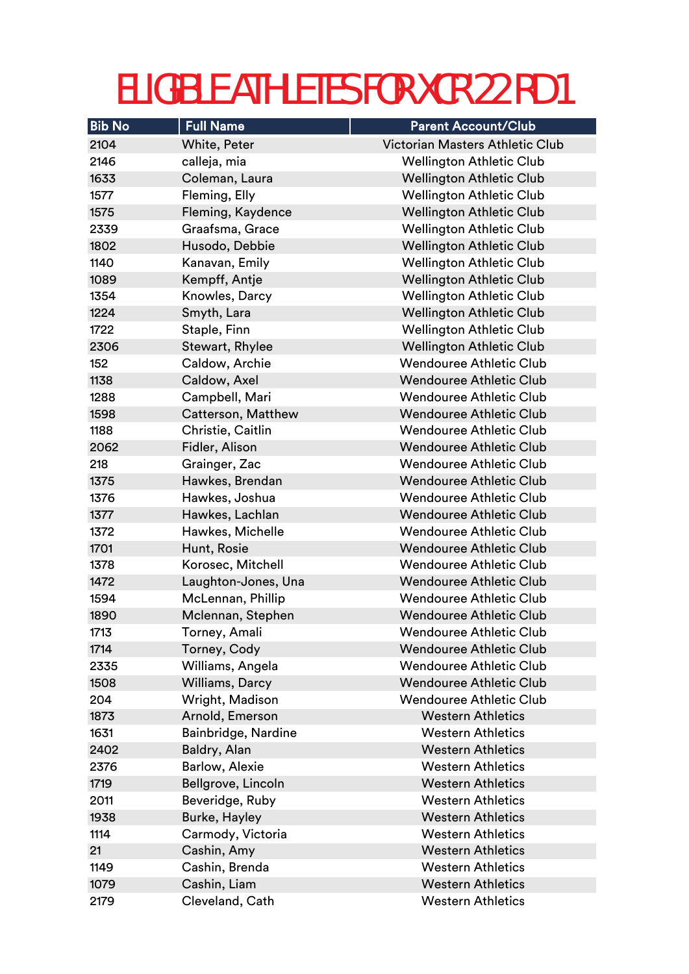| <b>Bib No</b> | <b>Full Name</b>     | <b>Parent Account/Club</b>             |
|---------------|----------------------|----------------------------------------|
| 2104          | White, Peter         | <b>Victorian Masters Athletic Club</b> |
| 2146          | calleja, mia         | <b>Wellington Athletic Club</b>        |
| 1633          | Coleman, Laura       | <b>Wellington Athletic Club</b>        |
| 1577          | Fleming, Elly        | <b>Wellington Athletic Club</b>        |
| 1575          | Fleming, Kaydence    | <b>Wellington Athletic Club</b>        |
| 2339          | Graafsma, Grace      | <b>Wellington Athletic Club</b>        |
| 1802          | Husodo, Debbie       | <b>Wellington Athletic Club</b>        |
| 1140          | Kanavan, Emily       | <b>Wellington Athletic Club</b>        |
| 1089          | Kempff, Antje        | <b>Wellington Athletic Club</b>        |
| 1354          | Knowles, Darcy       | <b>Wellington Athletic Club</b>        |
| 1224          | Smyth, Lara          | <b>Wellington Athletic Club</b>        |
| 1722          | Staple, Finn         | <b>Wellington Athletic Club</b>        |
| 2306          | Stewart, Rhylee      | <b>Wellington Athletic Club</b>        |
| 152           | Caldow, Archie       | <b>Wendouree Athletic Club</b>         |
| 1138          | Caldow, Axel         | <b>Wendouree Athletic Club</b>         |
| 1288          | Campbell, Mari       | <b>Wendouree Athletic Club</b>         |
| 1598          | Catterson, Matthew   | <b>Wendouree Athletic Club</b>         |
| 1188          | Christie, Caitlin    | <b>Wendouree Athletic Club</b>         |
| 2062          | Fidler, Alison       | <b>Wendouree Athletic Club</b>         |
| 218           | Grainger, Zac        | <b>Wendouree Athletic Club</b>         |
| 1375          | Hawkes, Brendan      | <b>Wendouree Athletic Club</b>         |
| 1376          | Hawkes, Joshua       | <b>Wendouree Athletic Club</b>         |
| 1377          | Hawkes, Lachlan      | <b>Wendouree Athletic Club</b>         |
| 1372          | Hawkes, Michelle     | <b>Wendouree Athletic Club</b>         |
| 1701          | Hunt, Rosie          | <b>Wendouree Athletic Club</b>         |
| 1378          | Korosec, Mitchell    | <b>Wendouree Athletic Club</b>         |
| 1472          | Laughton-Jones, Una  | <b>Wendouree Athletic Club</b>         |
| 1594          | McLennan, Phillip    | <b>Wendouree Athletic Club</b>         |
| 1890          | Mclennan, Stephen    | <b>Wendouree Athletic Club</b>         |
| 1713          | Torney, Amali        | <b>Wendouree Athletic Club</b>         |
| 1714          | Torney, Cody         | <b>Wendouree Athletic Club</b>         |
| 2335          | Williams, Angela     | <b>Wendouree Athletic Club</b>         |
| 1508          | Williams, Darcy      | <b>Wendouree Athletic Club</b>         |
| 204           | Wright, Madison      | <b>Wendouree Athletic Club</b>         |
| 1873          | Arnold, Emerson      | <b>Western Athletics</b>               |
| 1631          | Bainbridge, Nardine  | <b>Western Athletics</b>               |
| 2402          | Baldry, Alan         | <b>Western Athletics</b>               |
| 2376          | Barlow, Alexie       | <b>Western Athletics</b>               |
| 1719          | Bellgrove, Lincoln   | <b>Western Athletics</b>               |
| 2011          | Beveridge, Ruby      | <b>Western Athletics</b>               |
| 1938          | <b>Burke, Hayley</b> | <b>Western Athletics</b>               |
| 1114          | Carmody, Victoria    | <b>Western Athletics</b>               |
| 21            | Cashin, Amy          | <b>Western Athletics</b>               |
| 1149          | Cashin, Brenda       | <b>Western Athletics</b>               |
| 1079          | Cashin, Liam         | <b>Western Athletics</b>               |
| 2179          | Cleveland, Cath      | <b>Western Athletics</b>               |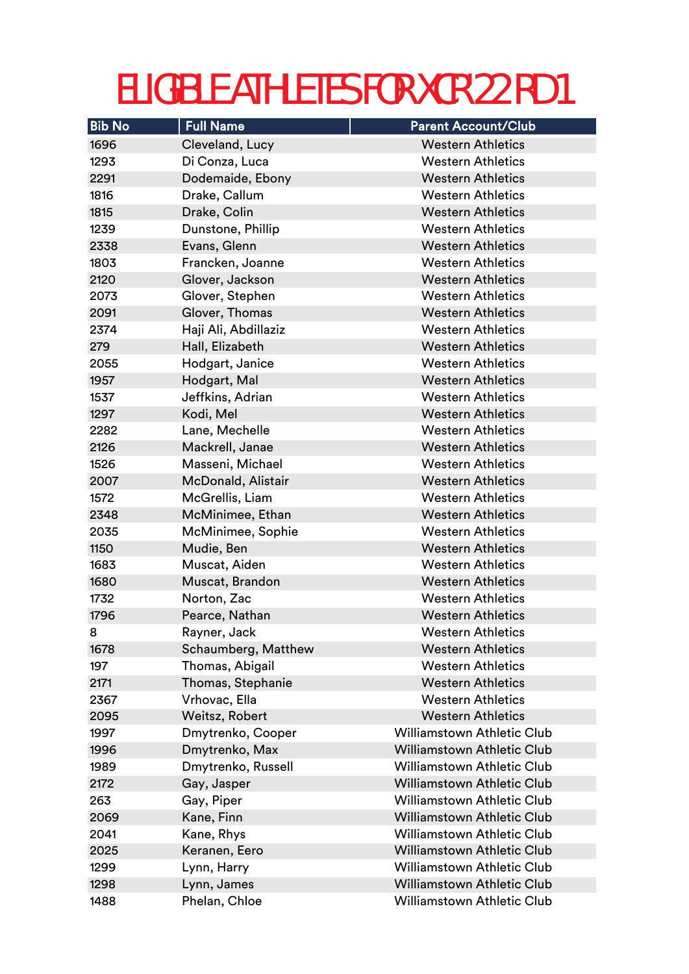| <b>Bib No</b> | <b>Full Name</b>     | <b>Parent Account/Club</b>        |
|---------------|----------------------|-----------------------------------|
| 1696          | Cleveland, Lucy      | <b>Western Athletics</b>          |
| 1293          | Di Conza, Luca       | <b>Western Athletics</b>          |
| 2291          | Dodemaide, Ebony     | <b>Western Athletics</b>          |
| 1816          | Drake, Callum        | <b>Western Athletics</b>          |
| 1815          | Drake, Colin         | <b>Western Athletics</b>          |
| 1239          | Dunstone, Phillip    | <b>Western Athletics</b>          |
| 2338          | Evans, Glenn         | <b>Western Athletics</b>          |
| 1803          | Francken, Joanne     | <b>Western Athletics</b>          |
| 2120          | Glover, Jackson      | <b>Western Athletics</b>          |
| 2073          | Glover, Stephen      | <b>Western Athletics</b>          |
| 2091          | Glover, Thomas       | <b>Western Athletics</b>          |
| 2374          | Haji Ali, Abdillaziz | <b>Western Athletics</b>          |
| 279           | Hall, Elizabeth      | <b>Western Athletics</b>          |
| 2055          | Hodgart, Janice      | <b>Western Athletics</b>          |
| 1957          | Hodgart, Mal         | <b>Western Athletics</b>          |
| 1537          | Jeffkins, Adrian     | <b>Western Athletics</b>          |
| 1297          | Kodi, Mel            | <b>Western Athletics</b>          |
| 2282          | Lane, Mechelle       | <b>Western Athletics</b>          |
| 2126          | Mackrell, Janae      | <b>Western Athletics</b>          |
| 1526          | Masseni, Michael     | <b>Western Athletics</b>          |
| 2007          | McDonald, Alistair   | <b>Western Athletics</b>          |
| 1572          | McGrellis, Liam      | <b>Western Athletics</b>          |
| 2348          | McMinimee, Ethan     | <b>Western Athletics</b>          |
| 2035          | McMinimee, Sophie    | <b>Western Athletics</b>          |
| 1150          | Mudie, Ben           | <b>Western Athletics</b>          |
| 1683          | Muscat, Aiden        | <b>Western Athletics</b>          |
| 1680          | Muscat, Brandon      | <b>Western Athletics</b>          |
| 1732          | Norton, Zac          | <b>Western Athletics</b>          |
| 1796          | Pearce, Nathan       | <b>Western Athletics</b>          |
| 8             | Rayner, Jack         | <b>Western Athletics</b>          |
| 1678          | Schaumberg, Matthew  | <b>Western Athletics</b>          |
| 197           | Thomas, Abigail      | <b>Western Athletics</b>          |
| 2171          | Thomas, Stephanie    | <b>Western Athletics</b>          |
| 2367          | Vrhovac, Ella        | <b>Western Athletics</b>          |
| 2095          | Weitsz, Robert       | <b>Western Athletics</b>          |
| 1997          | Dmytrenko, Cooper    | <b>Williamstown Athletic Club</b> |
| 1996          | Dmytrenko, Max       | <b>Williamstown Athletic Club</b> |
| 1989          | Dmytrenko, Russell   | <b>Williamstown Athletic Club</b> |
| 2172          | Gay, Jasper          | <b>Williamstown Athletic Club</b> |
| 263           | Gay, Piper           | <b>Williamstown Athletic Club</b> |
| 2069          | Kane, Finn           | <b>Williamstown Athletic Club</b> |
| 2041          | Kane, Rhys           | <b>Williamstown Athletic Club</b> |
| 2025          | Keranen, Eero        | <b>Williamstown Athletic Club</b> |
| 1299          | Lynn, Harry          | <b>Williamstown Athletic Club</b> |
| 1298          | Lynn, James          | <b>Williamstown Athletic Club</b> |
| 1488          | Phelan, Chloe        | <b>Williamstown Athletic Club</b> |